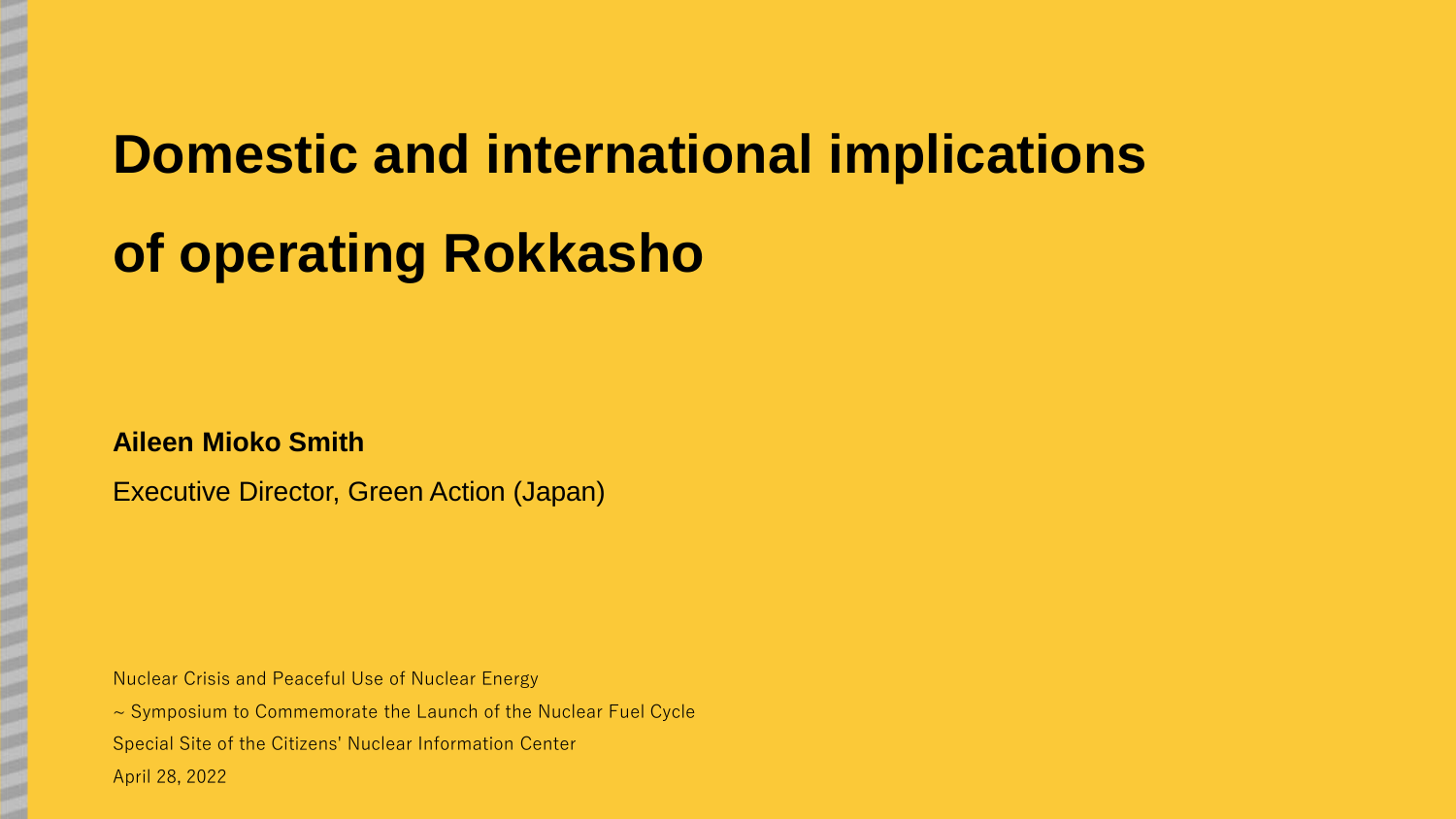# **Domestic and international implications**

# **of operating Rokkasho**

### **Aileen Mioko Smith**

Executive Director, Green Action (Japan)

Nuclear Crisis and Peaceful Use of Nuclear Energy

~ Symposium to Commemorate the Launch of the Nuclear Fuel Cycle Special Site of the Citizens' Nuclear Information Center April 28, 2022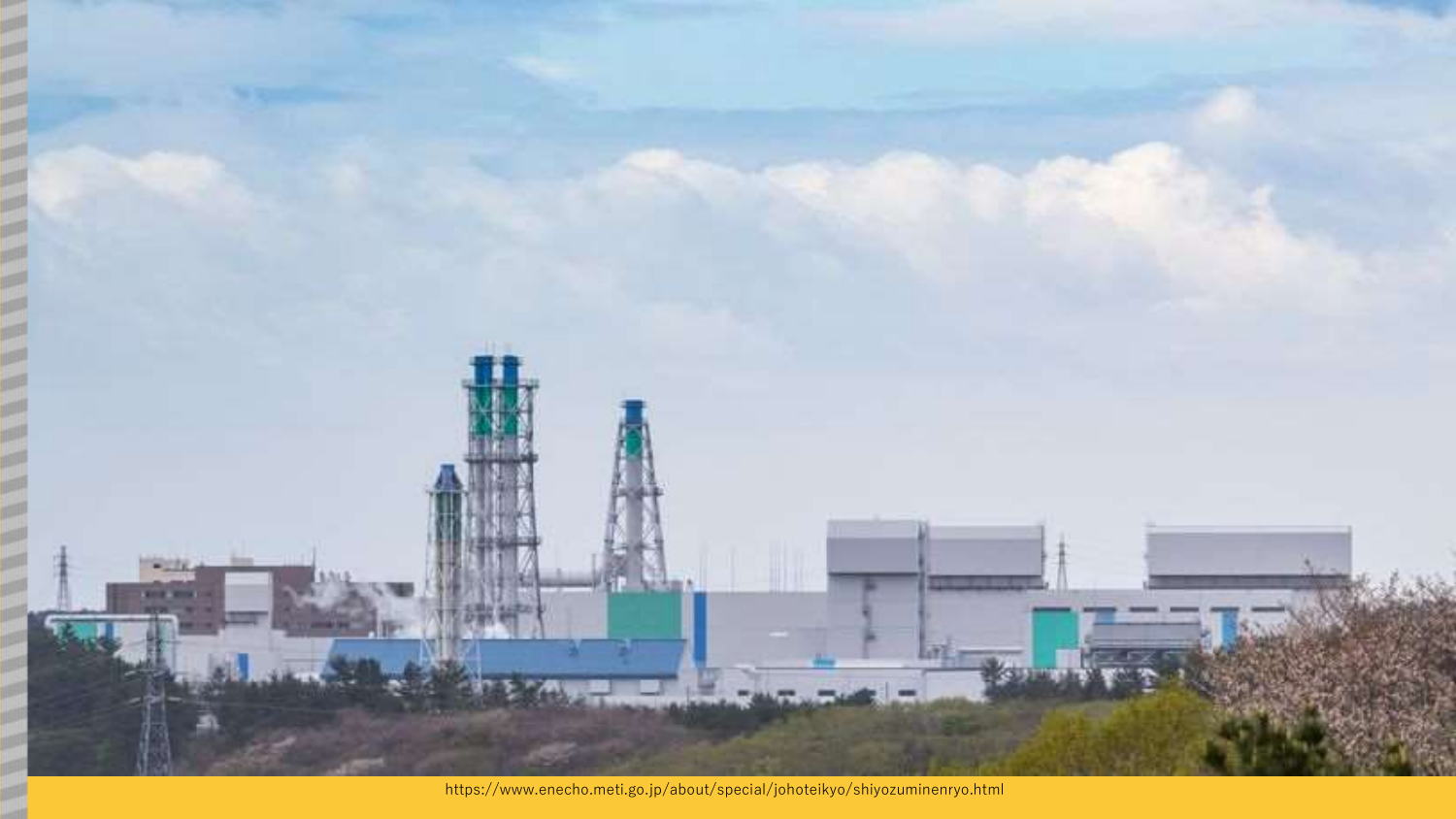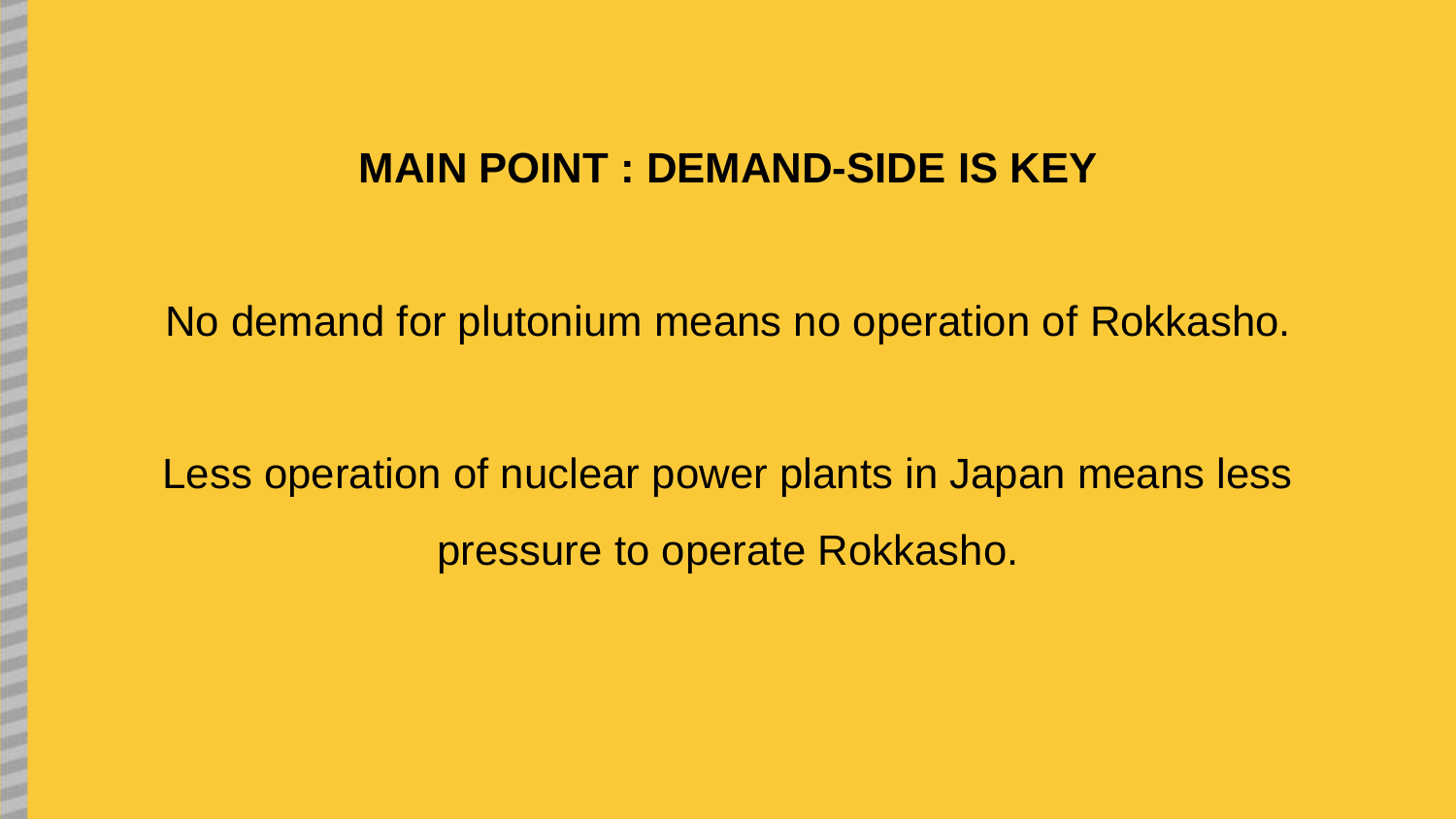# **MAIN POINT : DEMAND-SIDE IS KEY**

No demand for plutonium means no operation of Rokkasho.

Less operation of nuclear power plants in Japan means less pressure to operate Rokkasho.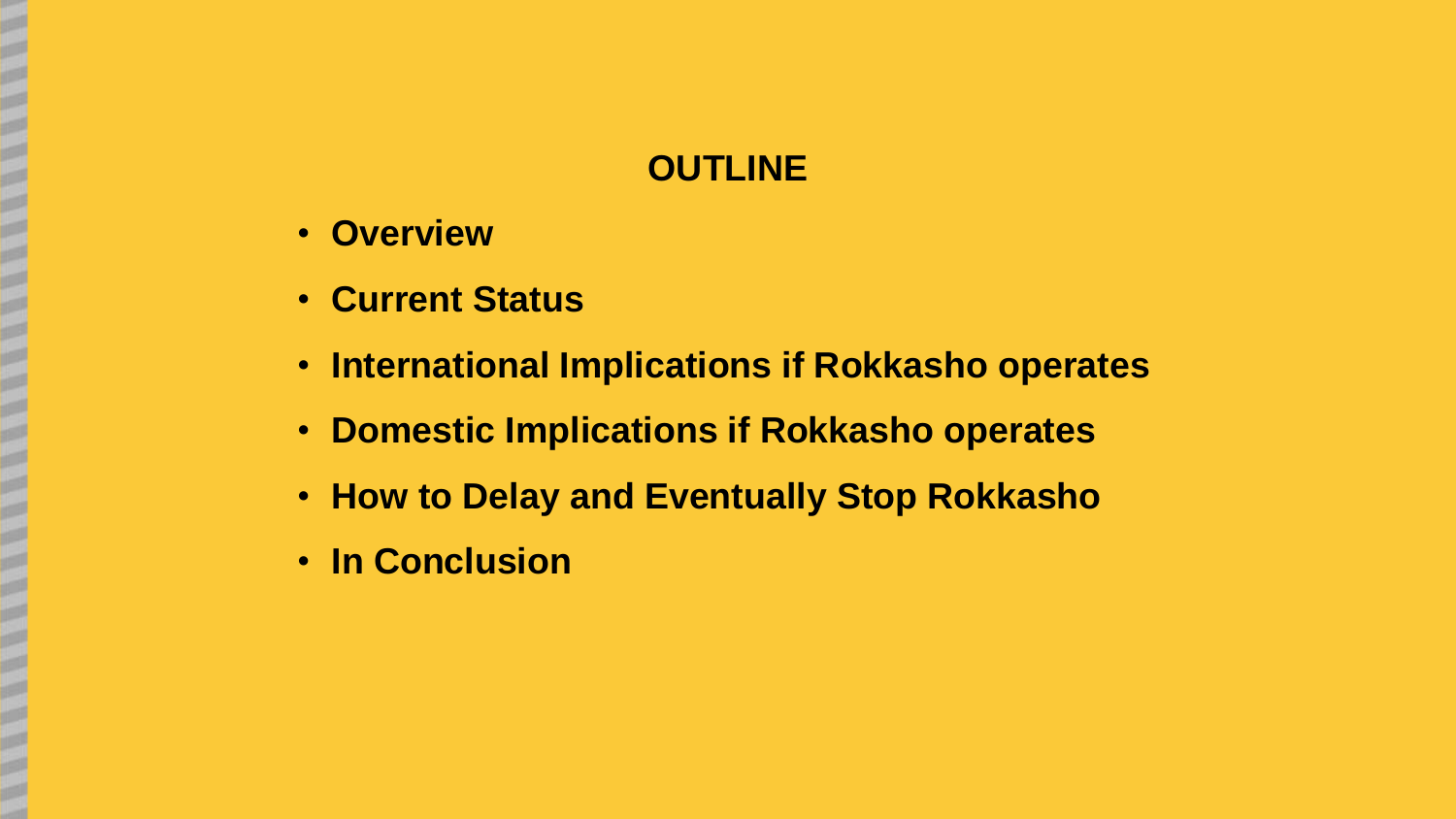# **OUTLINE**

- **Overview**
- **Current Status**
- **International Implications if Rokkasho operates**
- **Domestic Implications if Rokkasho operates**
- **How to Delay and Eventually Stop Rokkasho**
- **In Conclusion**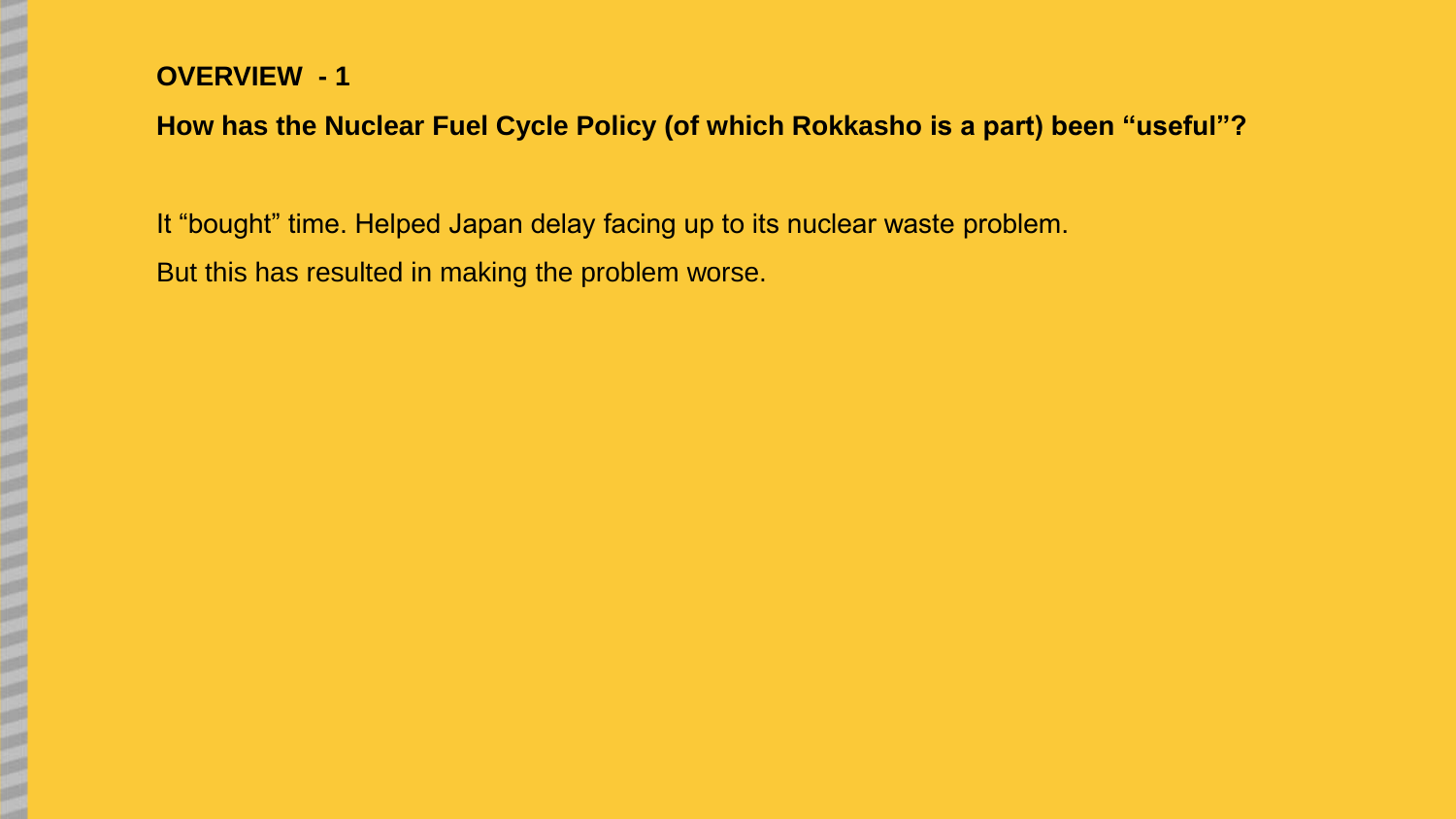# **OVERVIEW - 1**

# **How has the Nuclear Fuel Cycle Policy (of which Rokkasho is a part) been "useful"?**

It "bought" time. Helped Japan delay facing up to its nuclear waste problem.

But this has resulted in making the problem worse.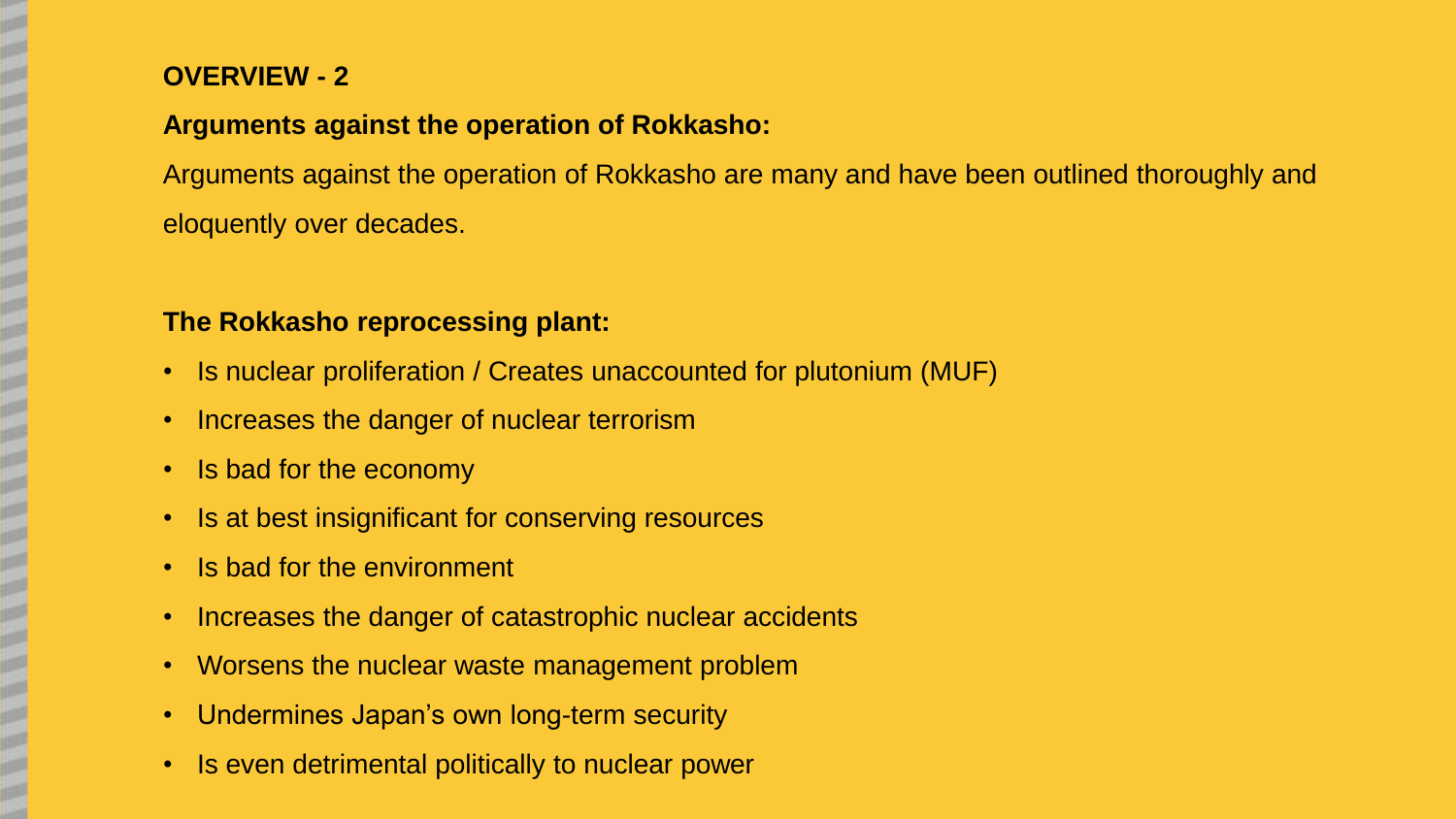# **OVERVIEW - 2**

# **Arguments against the operation of Rokkasho:**

Arguments against the operation of Rokkasho are many and have been outlined thoroughly and eloquently over decades.

# **The Rokkasho reprocessing plant:**

- Is nuclear proliferation / Creates unaccounted for plutonium (MUF)
- Increases the danger of nuclear terrorism
- Is bad for the economy
- Is at best insignificant for conserving resources
- Is bad for the environment
- Increases the danger of catastrophic nuclear accidents
- Worsens the nuclear waste management problem
- Undermines Japan's own long-term security
- Is even detrimental politically to nuclear power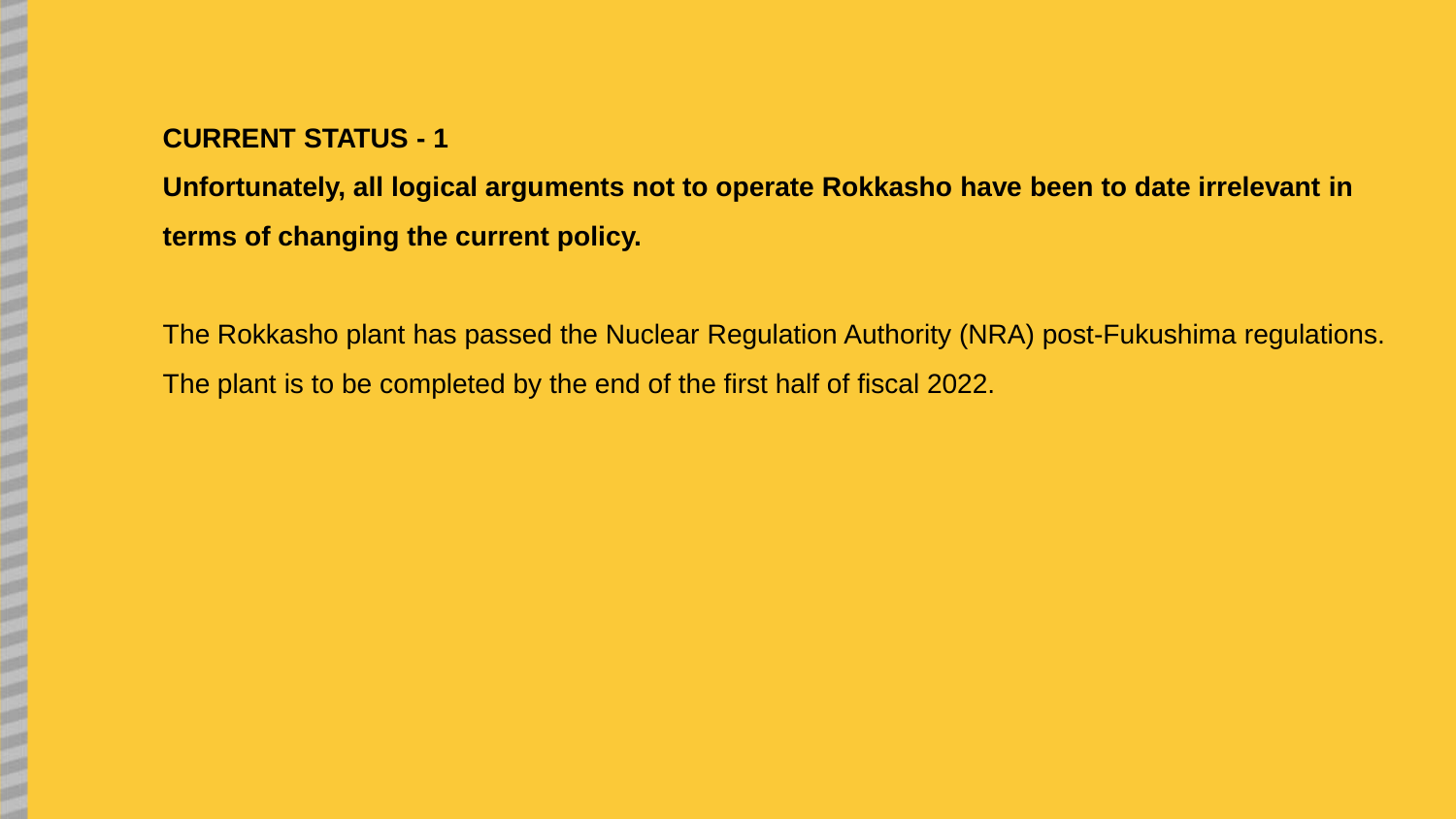**Unfortunately, all logical arguments not to operate Rokkasho have been to date irrelevant in terms of changing the current policy.**

The Rokkasho plant has passed the Nuclear Regulation Authority (NRA) post-Fukushima regulations. The plant is to be completed by the end of the first half of fiscal 2022.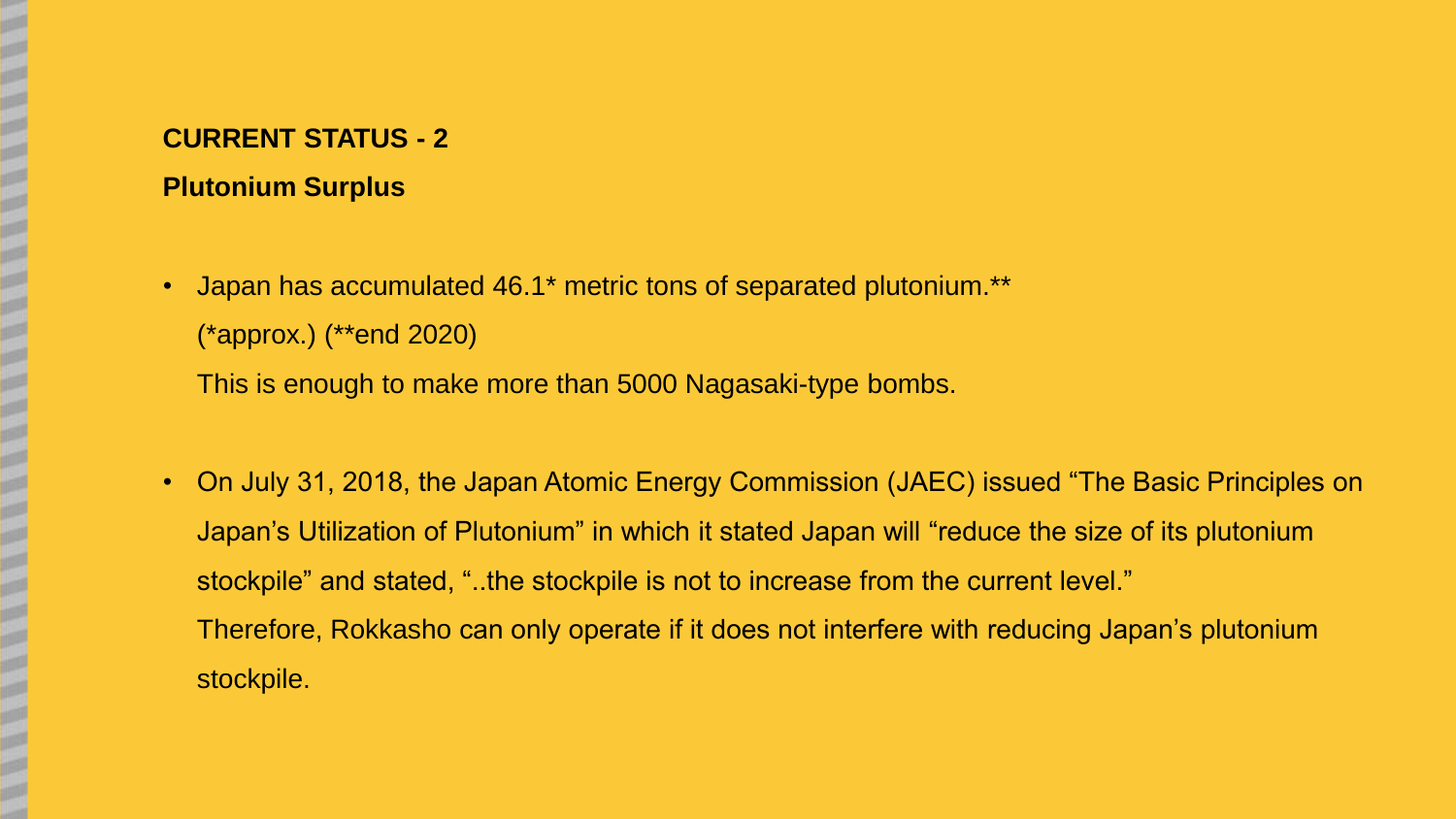- **Plutonium Surplus**
- Japan has accumulated 46.1<sup>\*</sup> metric tons of separated plutonium.<sup>\*\*</sup> (\*approx.) (\*\*end 2020)

This is enough to make more than 5000 Nagasaki-type bombs.

• On July 31, 2018, the Japan Atomic Energy Commission (JAEC) issued "The Basic Principles on Japan's Utilization of Plutonium" in which it stated Japan will "reduce the size of its plutonium stockpile" and stated, "..the stockpile is not to increase from the current level." Therefore, Rokkasho can only operate if it does not interfere with reducing Japan's plutonium stockpile.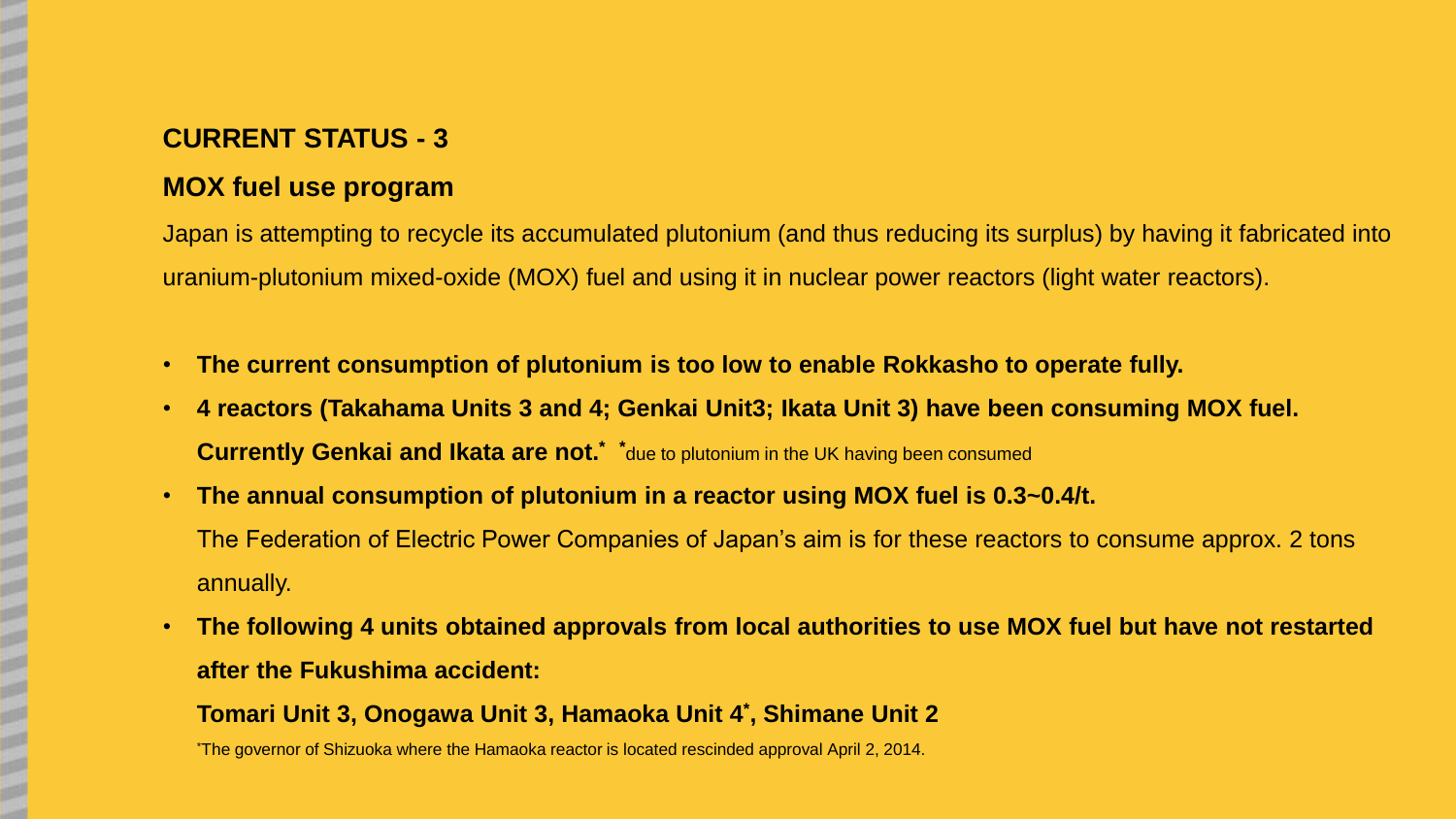## **MOX fuel use program**

Japan is attempting to recycle its accumulated plutonium (and thus reducing its surplus) by having it fabricated into uranium-plutonium mixed-oxide (MOX) fuel and using it in nuclear power reactors (light water reactors).

- **The current consumption of plutonium is too low to enable Rokkasho to operate fully.**
- **4 reactors (Takahama Units 3 and 4; Genkai Unit3; Ikata Unit 3) have been consuming MOX fuel. Currently Genkai and Ikata are not.\* \***due to plutonium in the UK having been consumed
- **The annual consumption of plutonium in a reactor using MOX fuel is 0.3~0.4/t.**  The Federation of Electric Power Companies of Japan's aim is for these reactors to consume approx. 2 tons annually.
- **The following 4 units obtained approvals from local authorities to use MOX fuel but have not restarted after the Fukushima accident:**

**Tomari Unit 3, Onogawa Unit 3, Hamaoka Unit 4\* , Shimane Unit 2**

\*The governor of Shizuoka where the Hamaoka reactor is located rescinded approval April 2, 2014.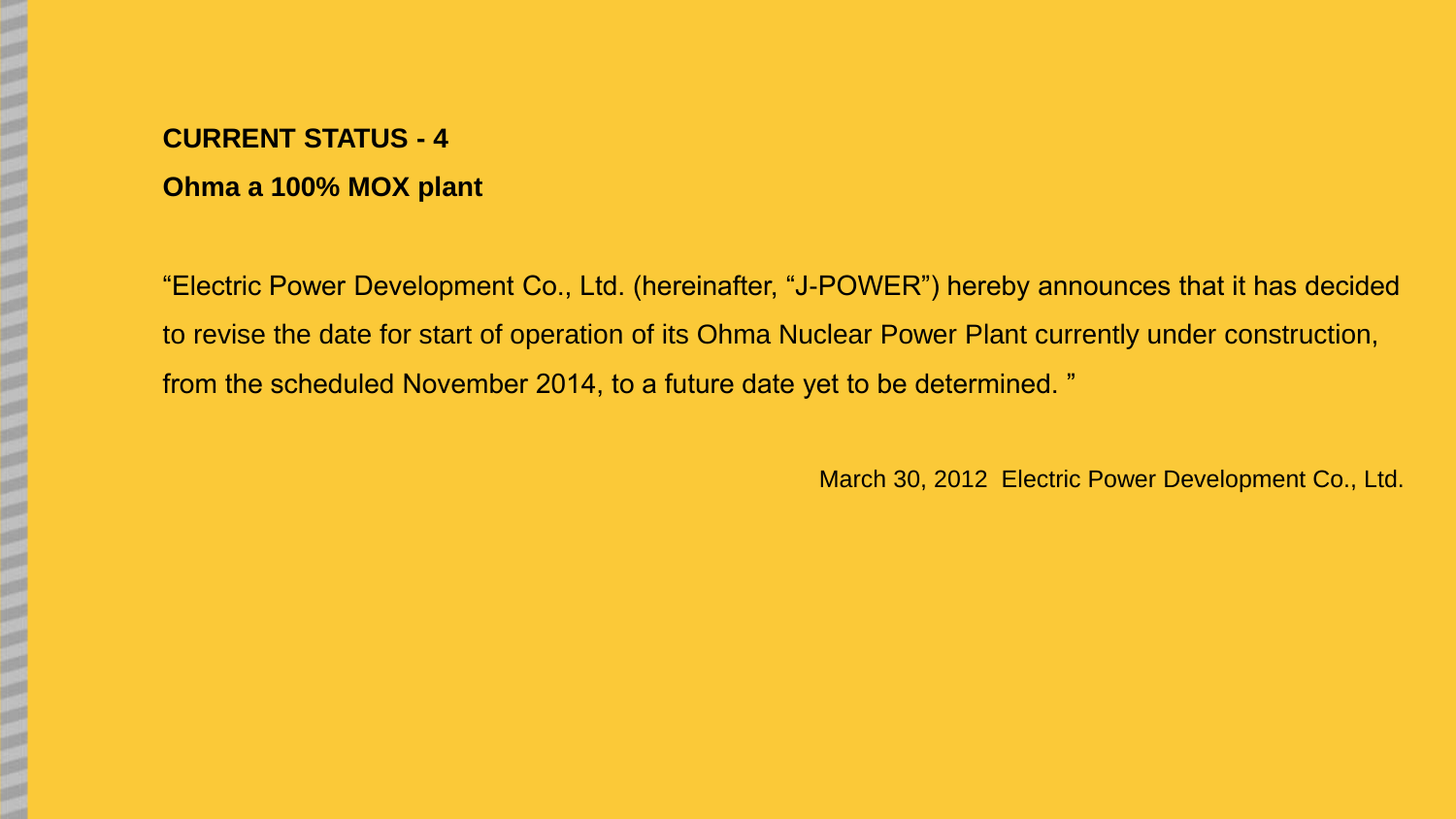# **Ohma a 100% MOX plant**

"Electric Power Development Co., Ltd. (hereinafter, "J-POWER") hereby announces that it has decided to revise the date for start of operation of its Ohma Nuclear Power Plant currently under construction, from the scheduled November 2014, to a future date yet to be determined. "

March 30, 2012 Electric Power Development Co., Ltd.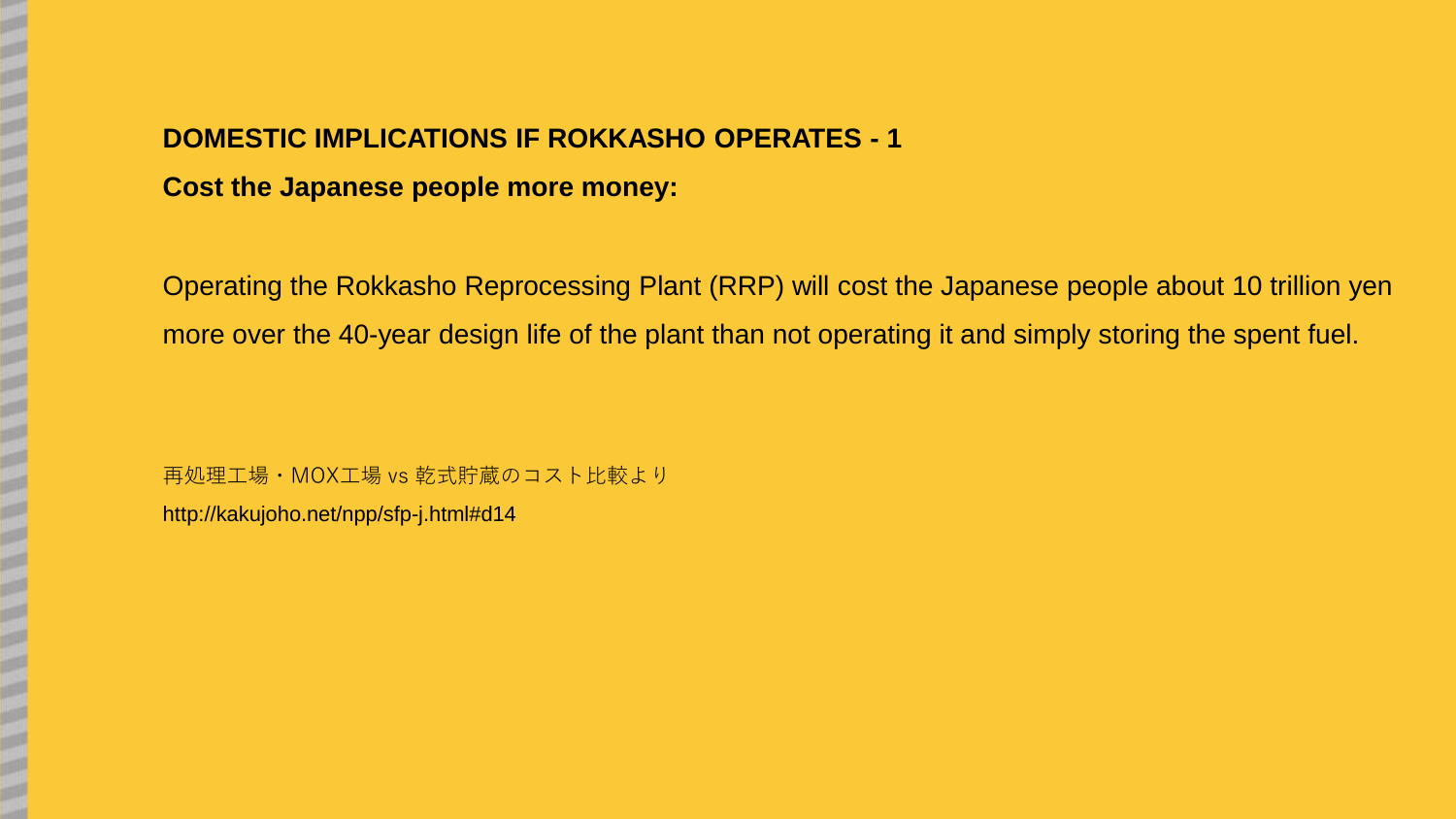# **DOMESTIC IMPLICATIONS IF ROKKASHO OPERATES - 1**

**Cost the Japanese people more money:**

Operating the Rokkasho Reprocessing Plant (RRP) will cost the Japanese people about 10 trillion yen more over the 40-year design life of the plant than not operating it and simply storing the spent fuel.

再処理工場・MOX工場 vs 乾式貯蔵のコスト比較より

http://kakujoho.net/npp/sfp-j.html#d14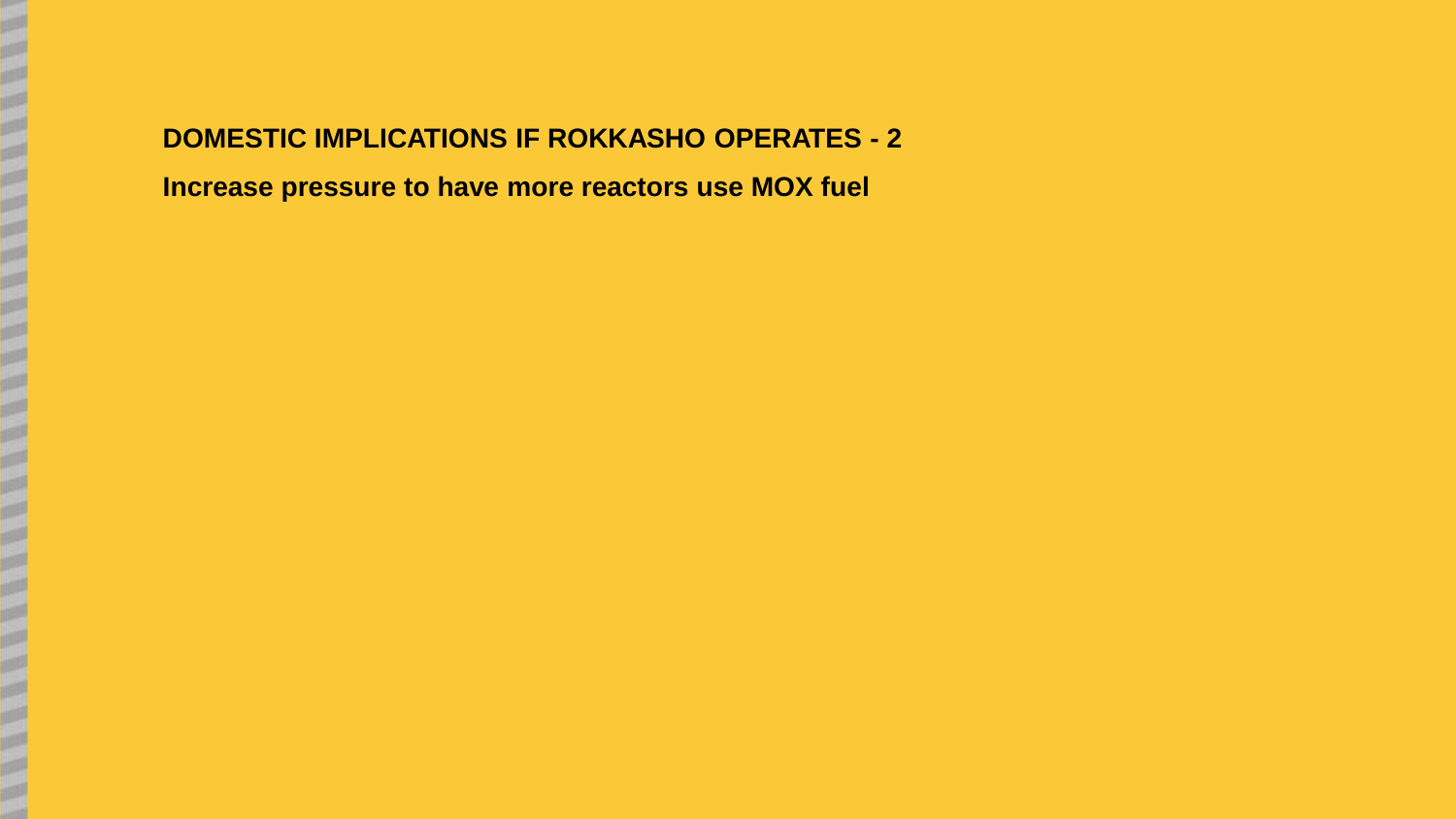# **DOMESTIC IMPLICATIONS IF ROKKASHO OPERATES - 2 Increase pressure to have more reactors use MOX fuel**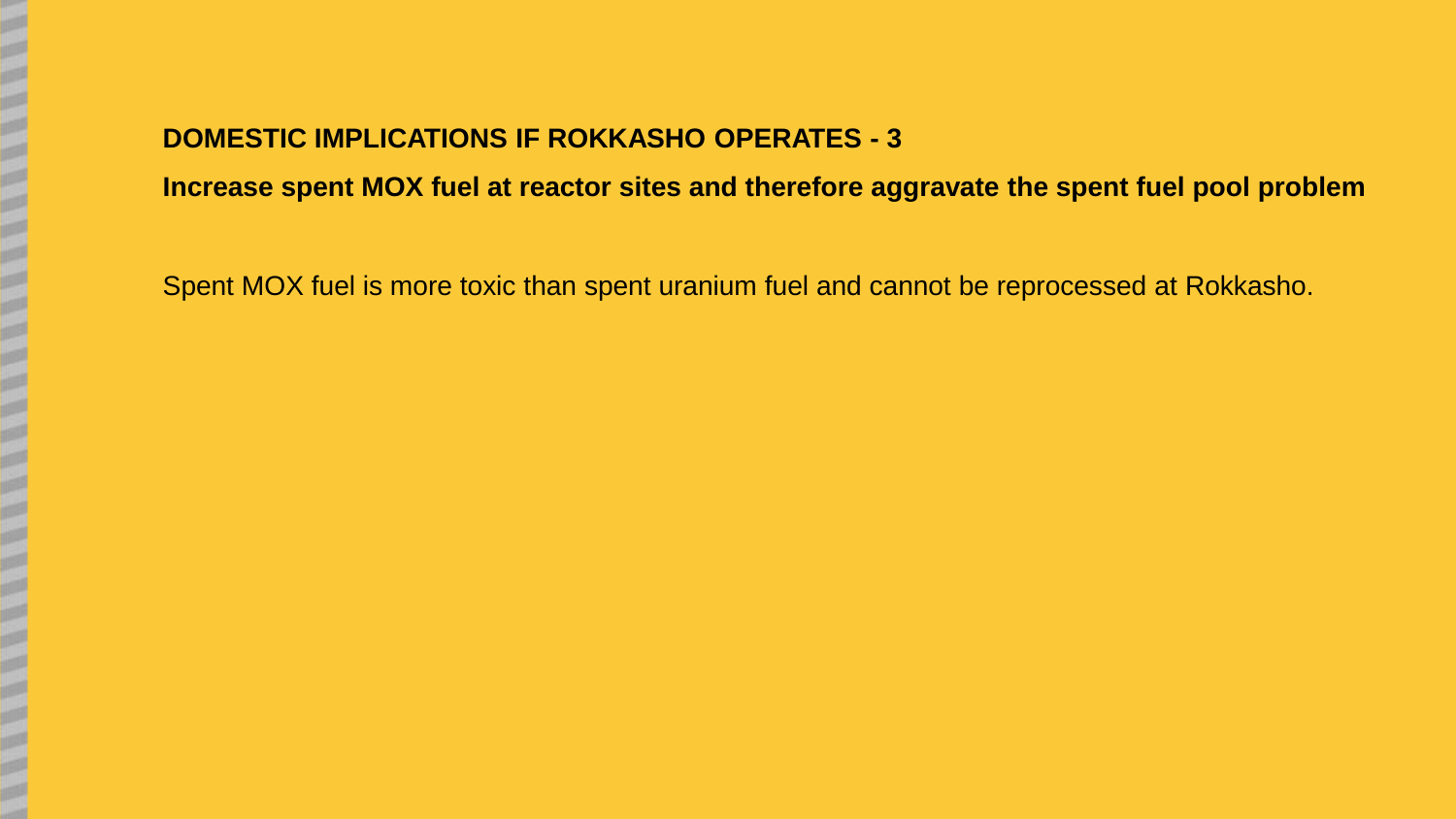**Increase spent MOX fuel at reactor sites and therefore aggravate the spent fuel pool problem**

Spent MOX fuel is more toxic than spent uranium fuel and cannot be reprocessed at Rokkasho.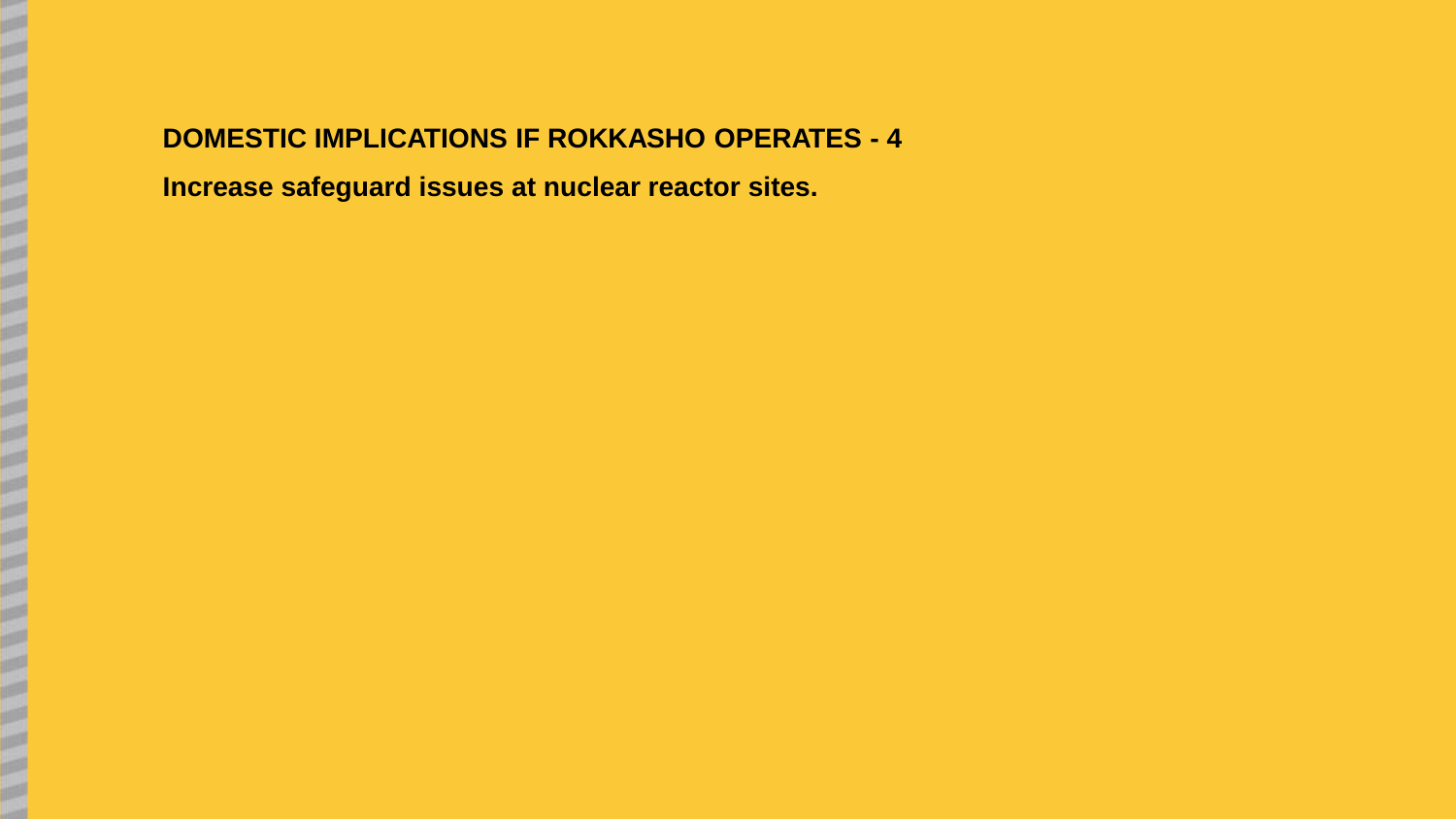# **DOMESTIC IMPLICATIONS IF ROKKASHO OPERATES - 4**

**Increase safeguard issues at nuclear reactor sites.**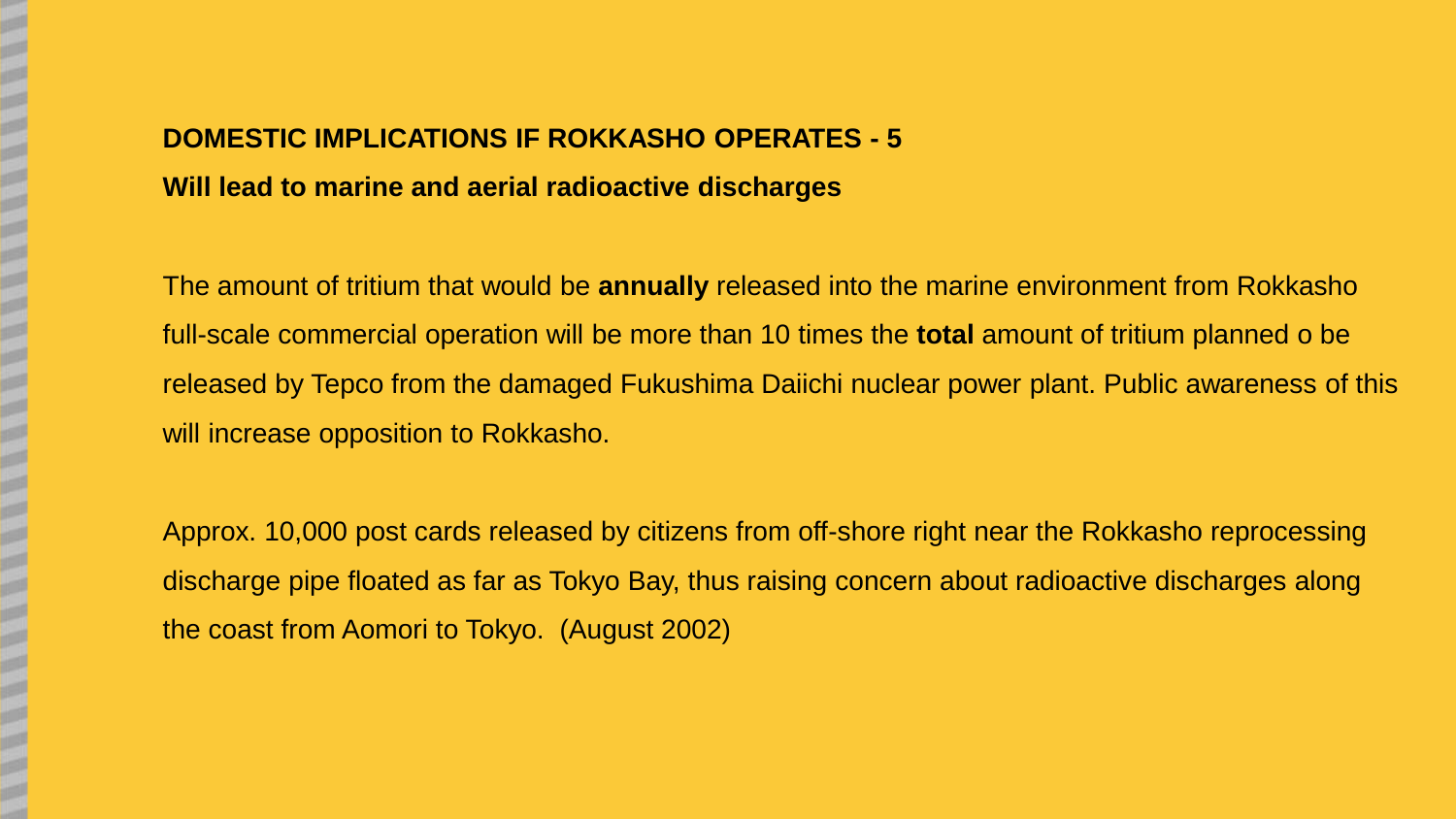# **DOMESTIC IMPLICATIONS IF ROKKASHO OPERATES - 5 Will lead to marine and aerial radioactive discharges**

The amount of tritium that would be **annually** released into the marine environment from Rokkasho full-scale commercial operation will be more than 10 times the **total** amount of tritium planned o be released by Tepco from the damaged Fukushima Daiichi nuclear power plant. Public awareness of this will increase opposition to Rokkasho.

Approx. 10,000 post cards released by citizens from off-shore right near the Rokkasho reprocessing discharge pipe floated as far as Tokyo Bay, thus raising concern about radioactive discharges along the coast from Aomori to Tokyo. (August 2002)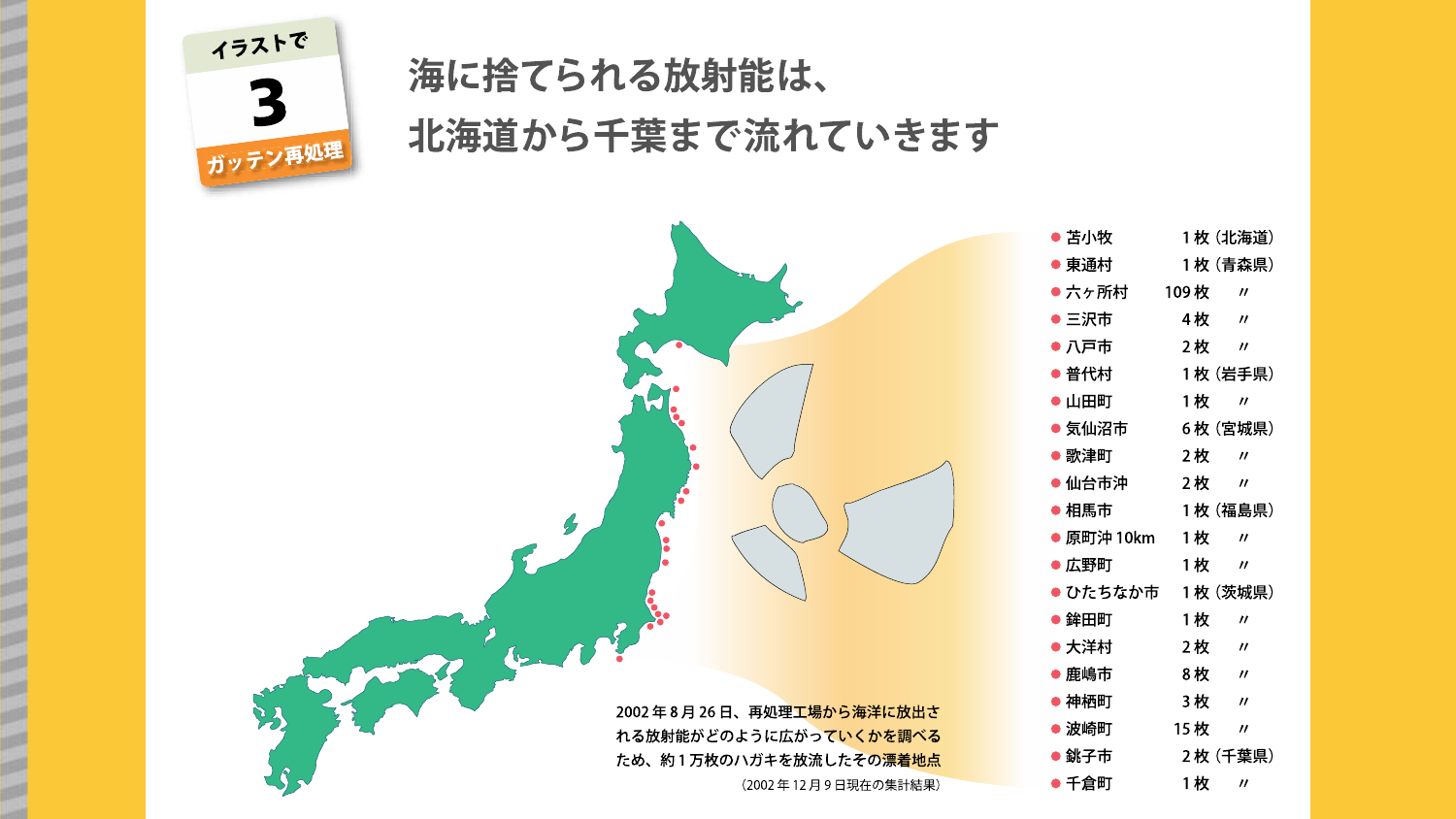

# 海に捨てられる放射能は、 北海道から千葉まで流れていきます

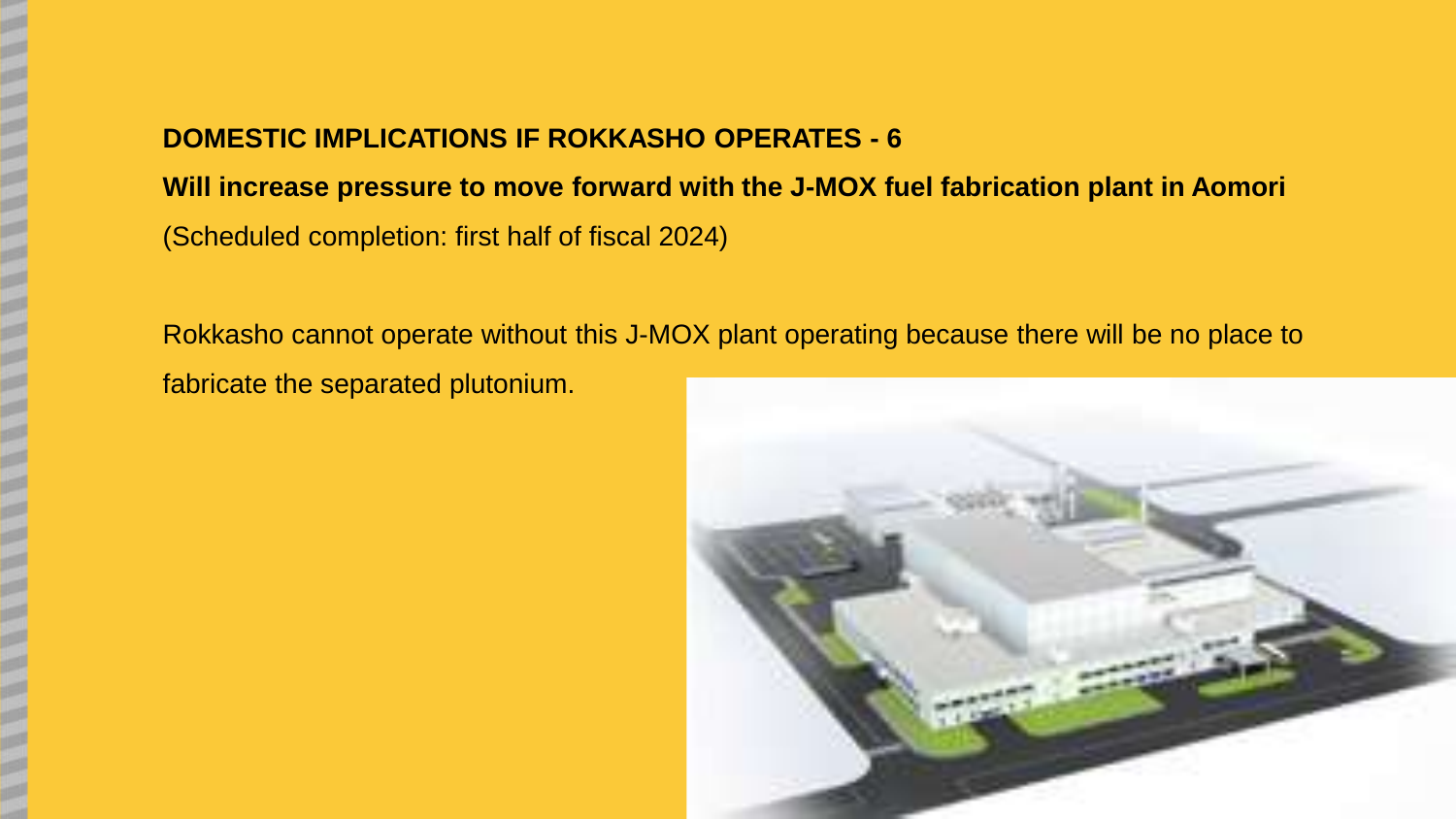# **DOMESTIC IMPLICATIONS IF ROKKASHO OPERATES - 6**

**Will increase pressure to move forward with the J-MOX fuel fabrication plant in Aomori**  (Scheduled completion: first half of fiscal 2024)

Rokkasho cannot operate without this J-MOX plant operating because there will be no place to fabricate the separated plutonium.

![](_page_16_Picture_3.jpeg)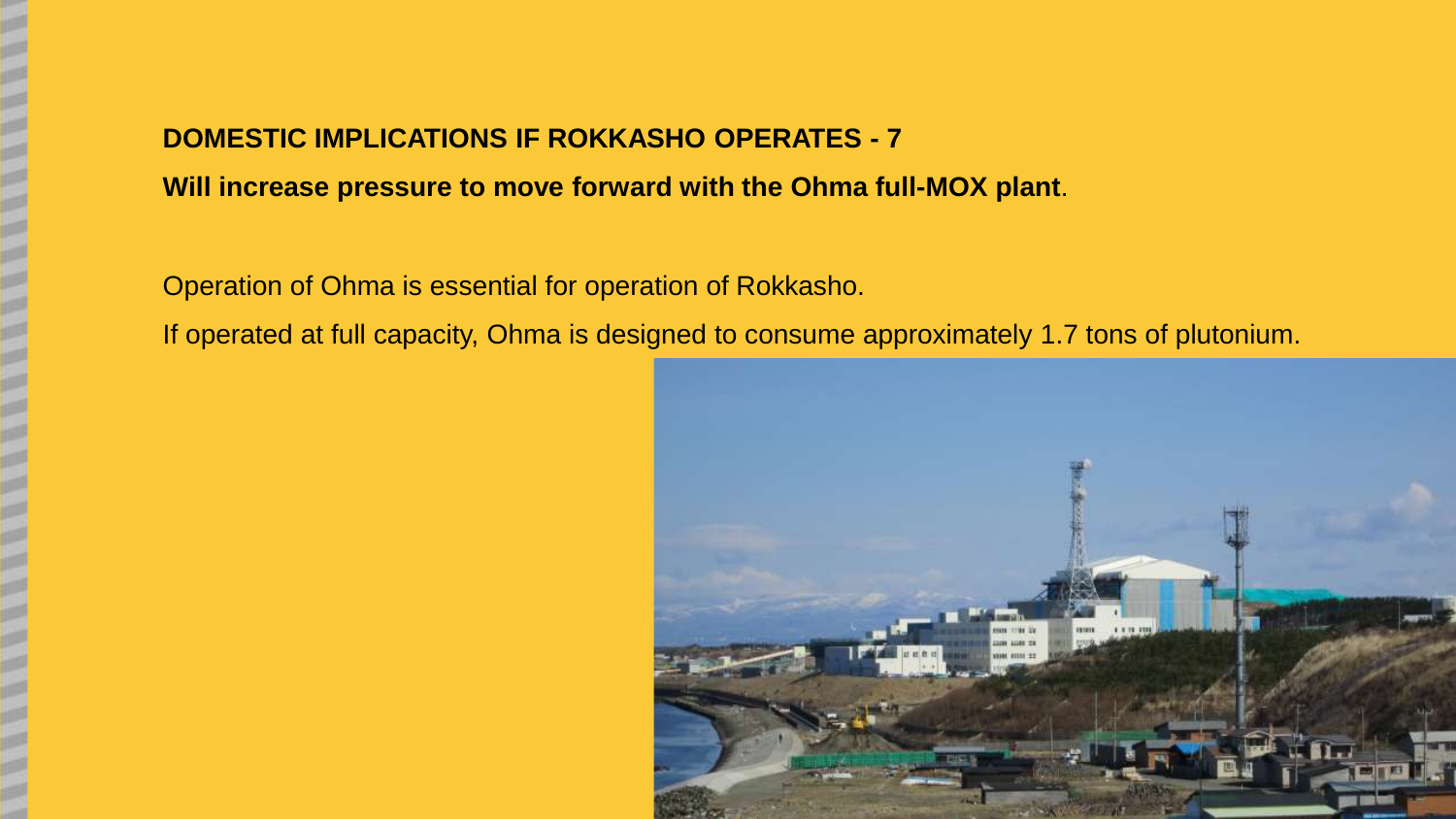# **DOMESTIC IMPLICATIONS IF ROKKASHO OPERATES - 7**

**Will increase pressure to move forward with the Ohma full-MOX plant**.

Operation of Ohma is essential for operation of Rokkasho.

If operated at full capacity, Ohma is designed to consume approximately 1.7 tons of plutonium.

![](_page_17_Picture_4.jpeg)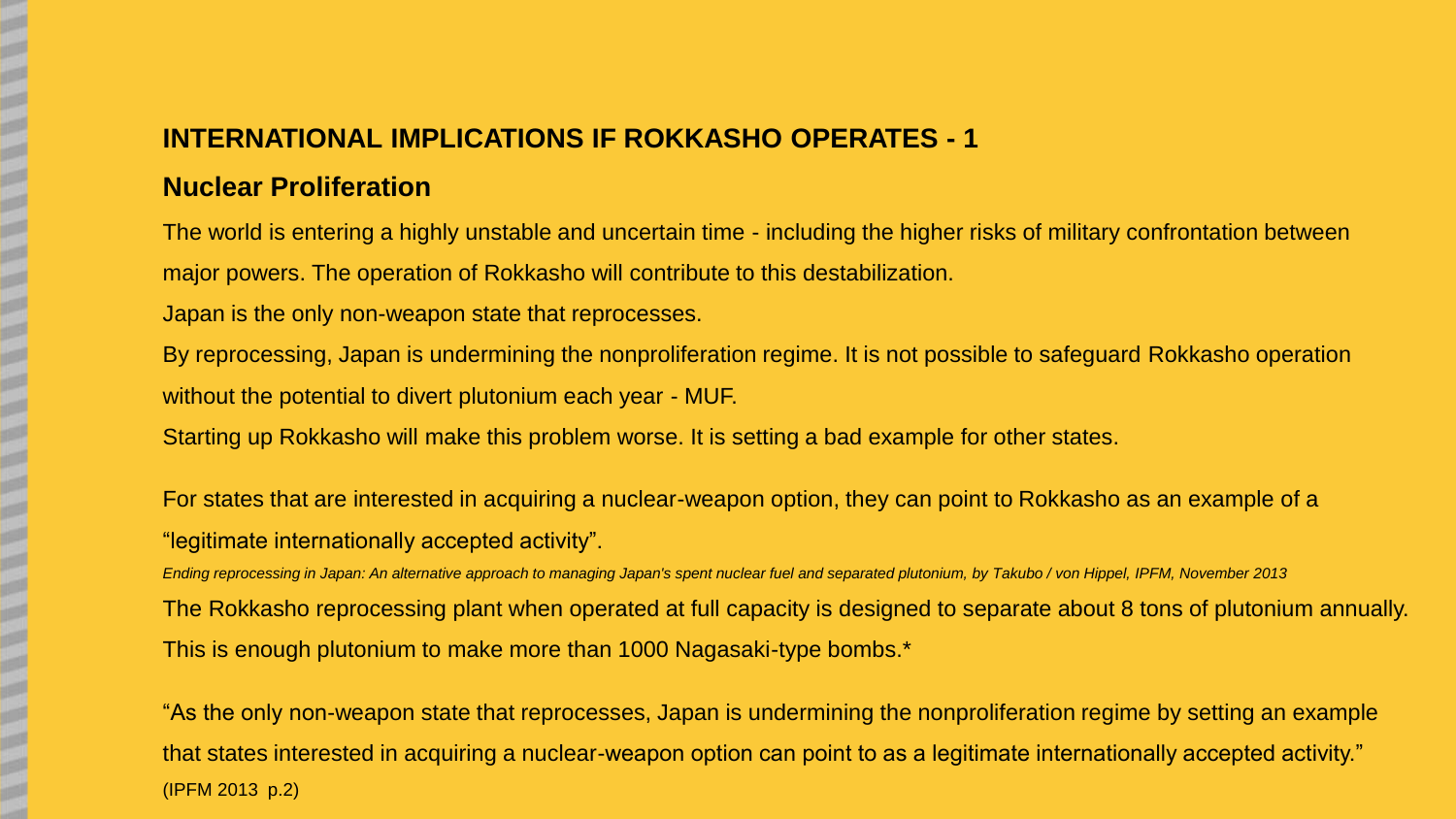# **INTERNATIONAL IMPLICATIONS IF ROKKASHO OPERATES - 1**

### **Nuclear Proliferation**

The world is entering a highly unstable and uncertain time - including the higher risks of military confrontation between major powers. The operation of Rokkasho will contribute to this destabilization.

Japan is the only non-weapon state that reprocesses.

By reprocessing, Japan is undermining the nonproliferation regime. It is not possible to safeguard Rokkasho operation without the potential to divert plutonium each year - MUF.

Starting up Rokkasho will make this problem worse. It is setting a bad example for other states.

For states that are interested in acquiring a nuclear-weapon option, they can point to Rokkasho as an example of a "legitimate internationally accepted activity".

*Ending reprocessing in Japan: An alternative approach to managing Japan's spent nuclear fuel and separated plutonium, by Takubo / von Hippel, IPFM, November 2013* The Rokkasho reprocessing plant when operated at full capacity is designed to separate about 8 tons of plutonium annually. This is enough plutonium to make more than 1000 Nagasaki-type bombs.\*

"As the only non-weapon state that reprocesses, Japan is undermining the nonproliferation regime by setting an example that states interested in acquiring a nuclear-weapon option can point to as a legitimate internationally accepted activity." (IPFM 2013 p.2)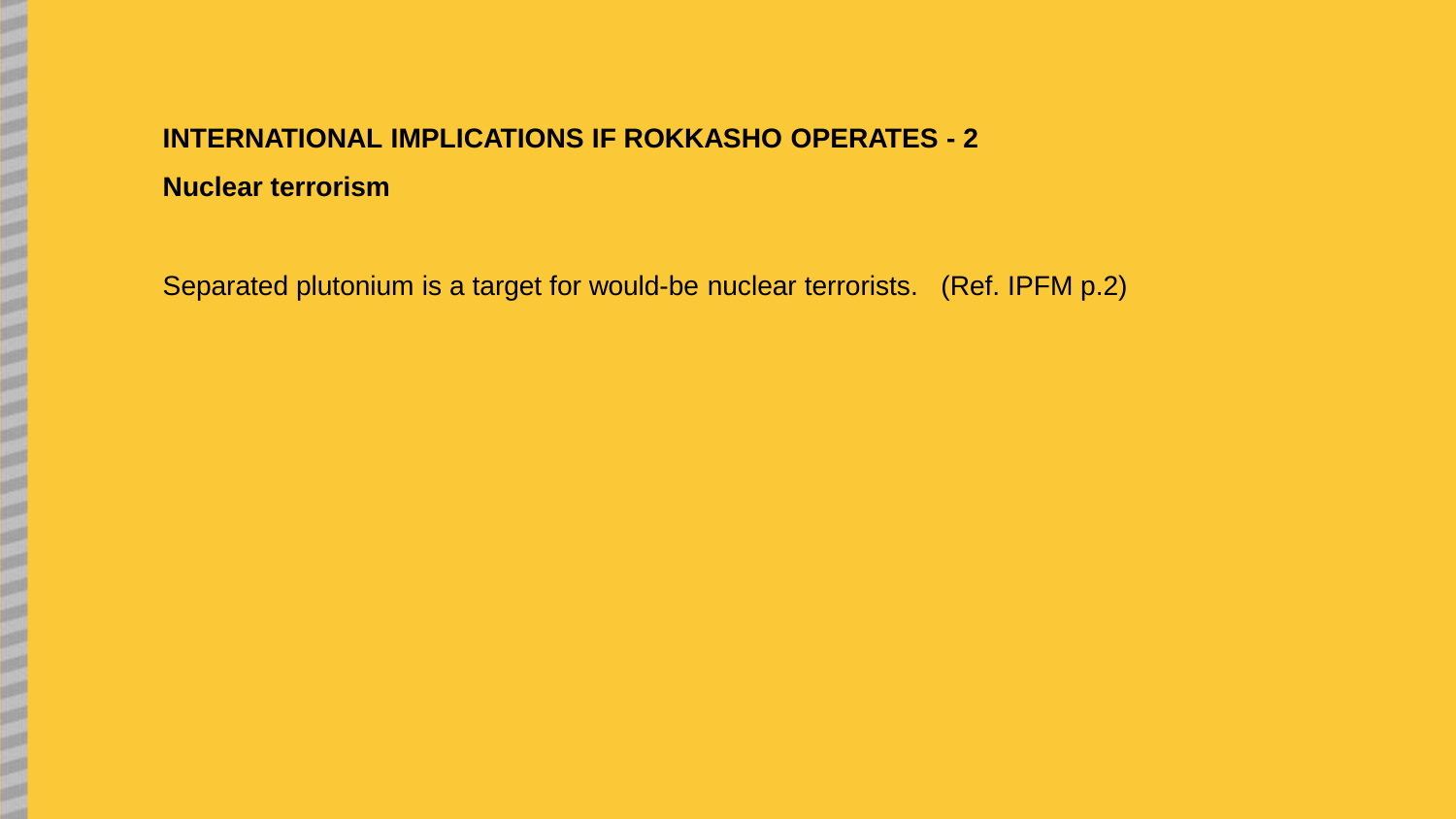# **INTERNATIONAL IMPLICATIONS IF ROKKASHO OPERATES - 2 Nuclear terrorism**

Separated plutonium is a target for would-be nuclear terrorists. (Ref. IPFM p.2)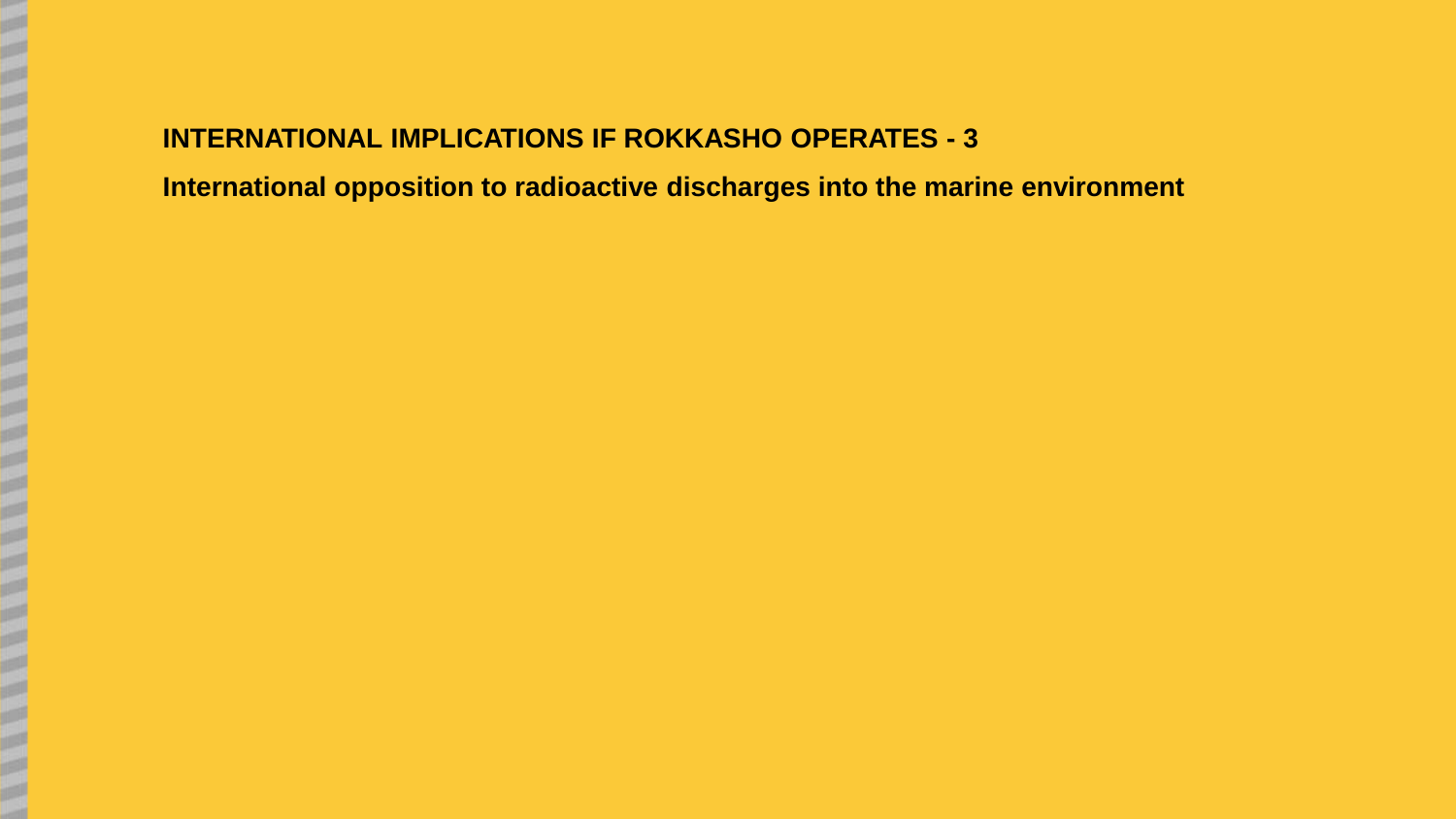# **INTERNATIONAL IMPLICATIONS IF ROKKASHO OPERATES - 3**

**International opposition to radioactive discharges into the marine environment**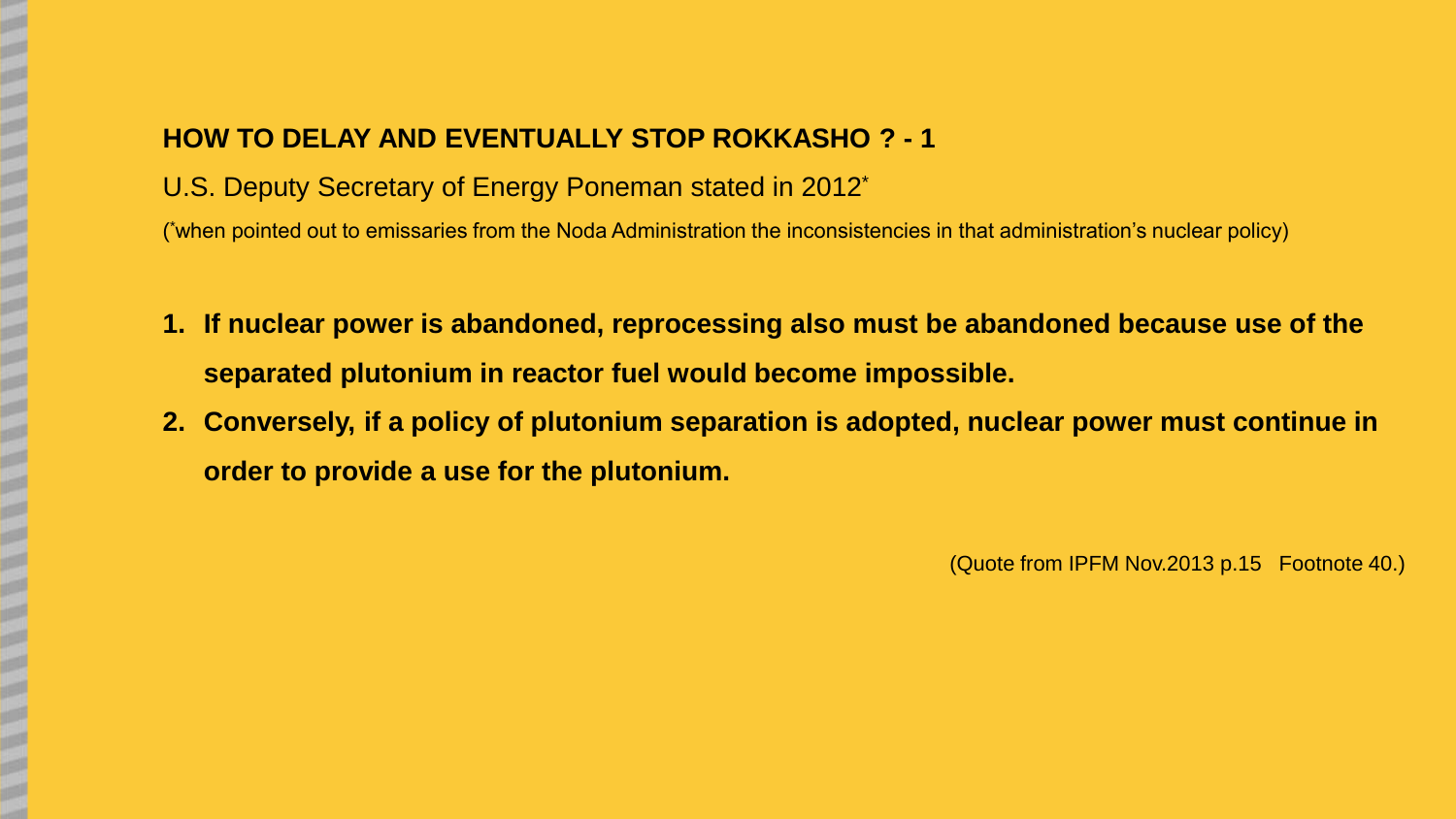### **HOW TO DELAY AND EVENTUALLY STOP ROKKASHO ? - 1**

U.S. Deputy Secretary of Energy Poneman stated in 2012\*

( \*when pointed out to emissaries from the Noda Administration the inconsistencies in that administration's nuclear policy)

- **1. If nuclear power is abandoned, reprocessing also must be abandoned because use of the separated plutonium in reactor fuel would become impossible.**
- **2. Conversely, if a policy of plutonium separation is adopted, nuclear power must continue in order to provide a use for the plutonium.**

(Quote from IPFM Nov.2013 p.15 Footnote 40.)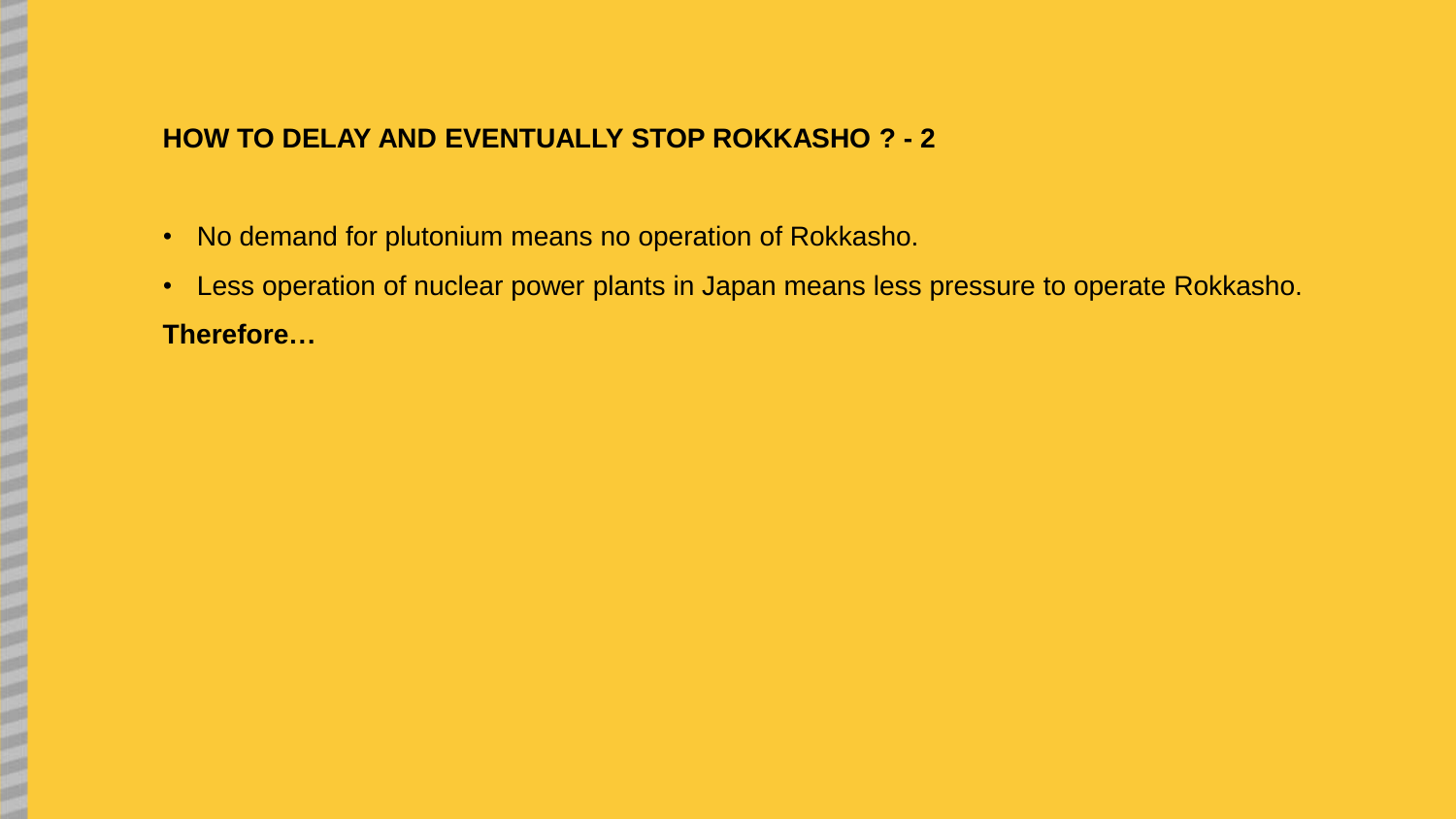### **HOW TO DELAY AND EVENTUALLY STOP ROKKASHO ? - 2**

- No demand for plutonium means no operation of Rokkasho.
- Less operation of nuclear power plants in Japan means less pressure to operate Rokkasho. **Therefore…**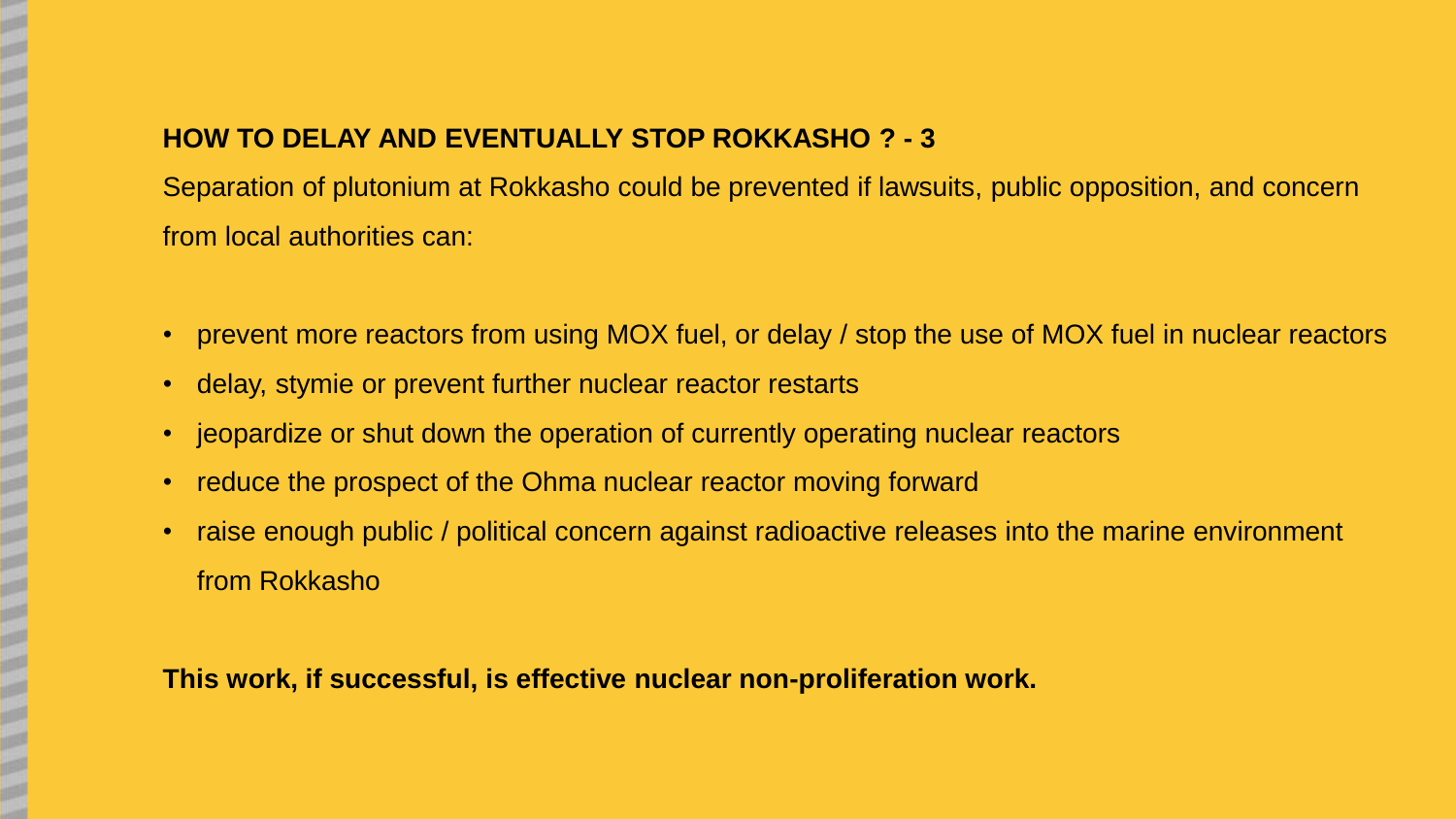## **HOW TO DELAY AND EVENTUALLY STOP ROKKASHO ? - 3**

Separation of plutonium at Rokkasho could be prevented if lawsuits, public opposition, and concern from local authorities can:

- prevent more reactors from using MOX fuel, or delay / stop the use of MOX fuel in nuclear reactors
- delay, stymie or prevent further nuclear reactor restarts
- jeopardize or shut down the operation of currently operating nuclear reactors
- reduce the prospect of the Ohma nuclear reactor moving forward
- raise enough public / political concern against radioactive releases into the marine environment from Rokkasho

### **This work, if successful, is effective nuclear non-proliferation work.**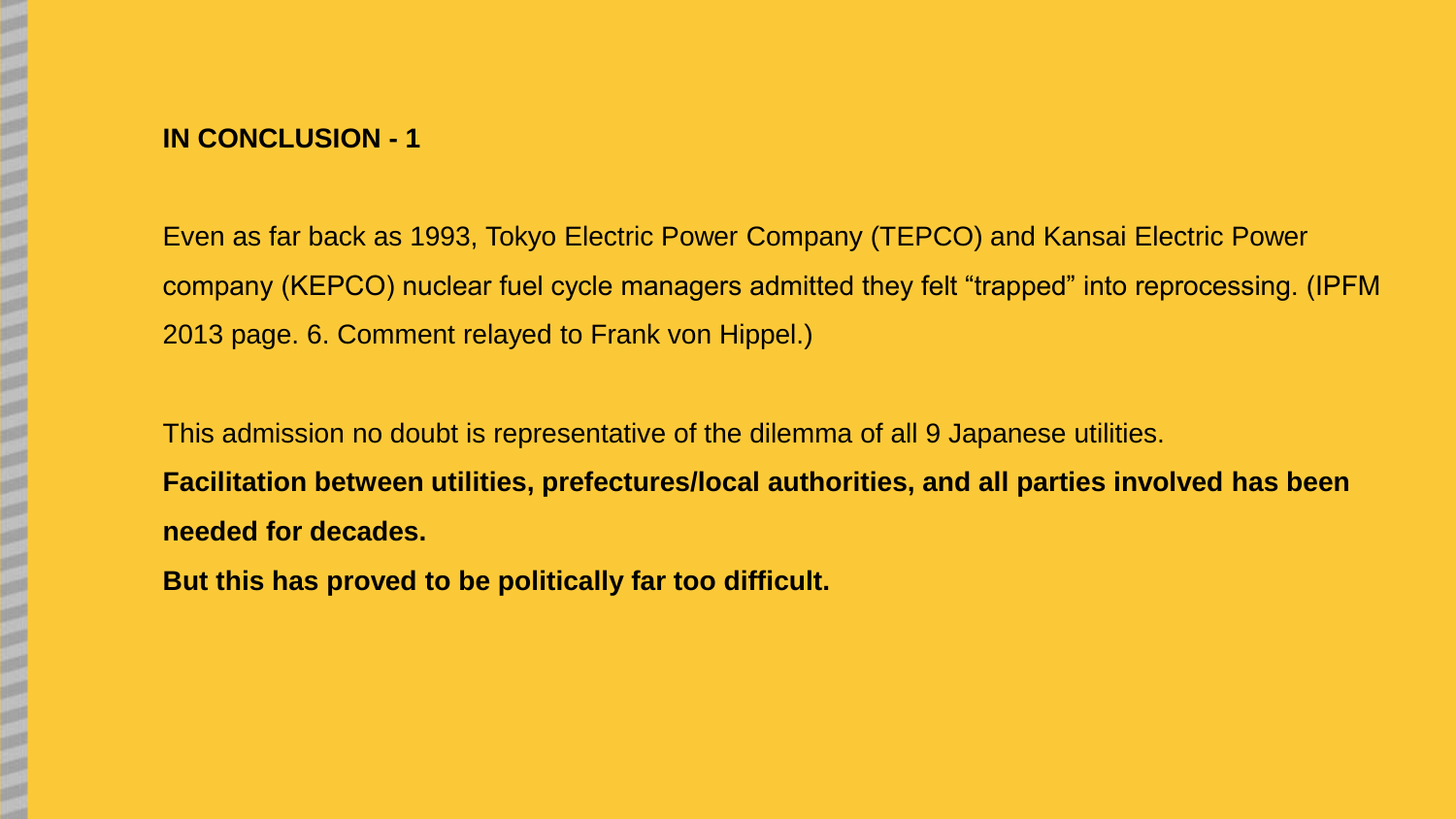# **IN CONCLUSION - 1**

Even as far back as 1993, Tokyo Electric Power Company (TEPCO) and Kansai Electric Power company (KEPCO) nuclear fuel cycle managers admitted they felt "trapped" into reprocessing. (IPFM 2013 page. 6. Comment relayed to Frank von Hippel.)

This admission no doubt is representative of the dilemma of all 9 Japanese utilities. **Facilitation between utilities, prefectures/local authorities, and all parties involved has been needed for decades.** 

**But this has proved to be politically far too difficult.**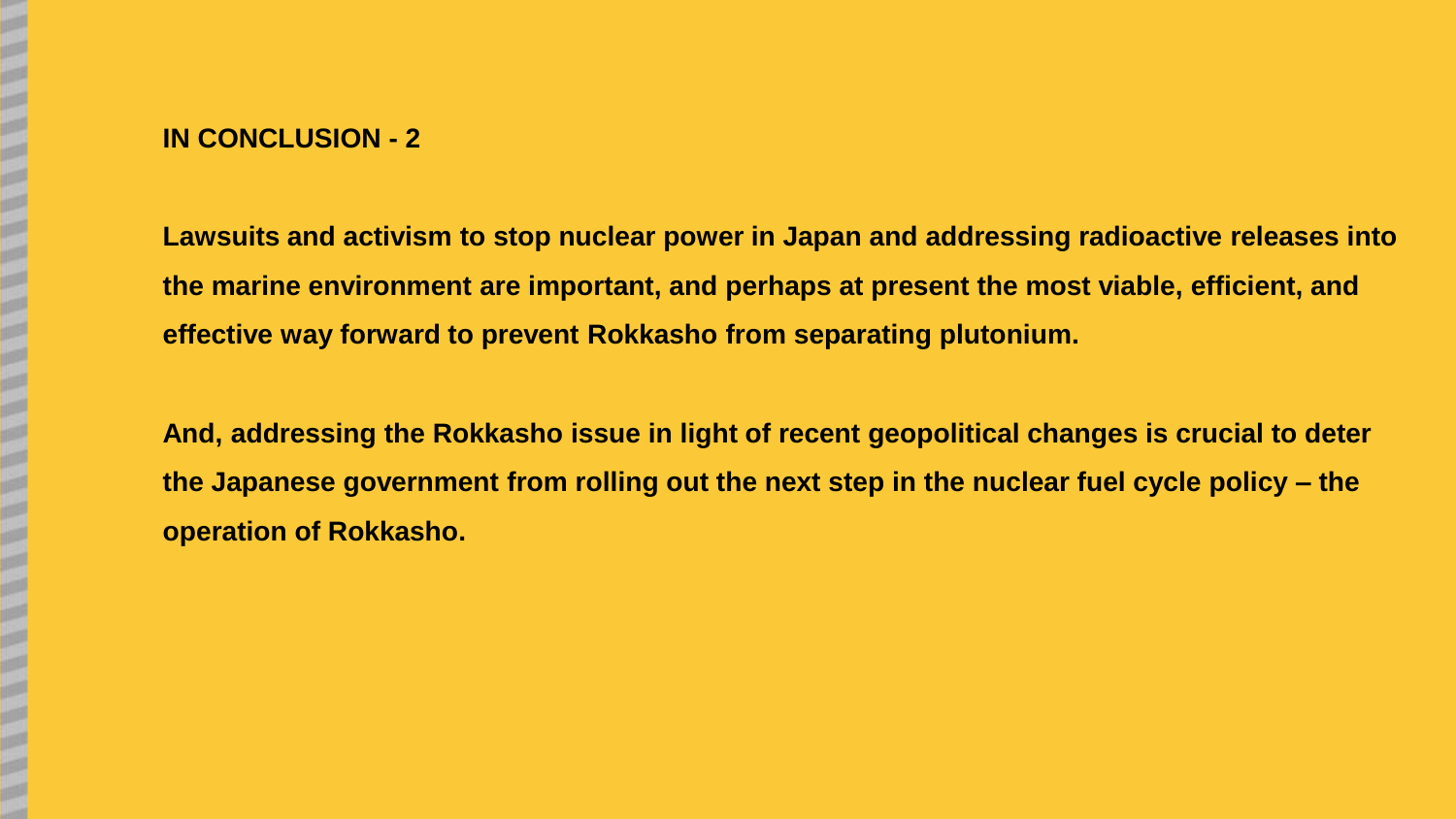# **IN CONCLUSION - 2**

**Lawsuits and activism to stop nuclear power in Japan and addressing radioactive releases into the marine environment are important, and perhaps at present the most viable, efficient, and effective way forward to prevent Rokkasho from separating plutonium.**

**And, addressing the Rokkasho issue in light of recent geopolitical changes is crucial to deter the Japanese government from rolling out the next step in the nuclear fuel cycle policy – the operation of Rokkasho.**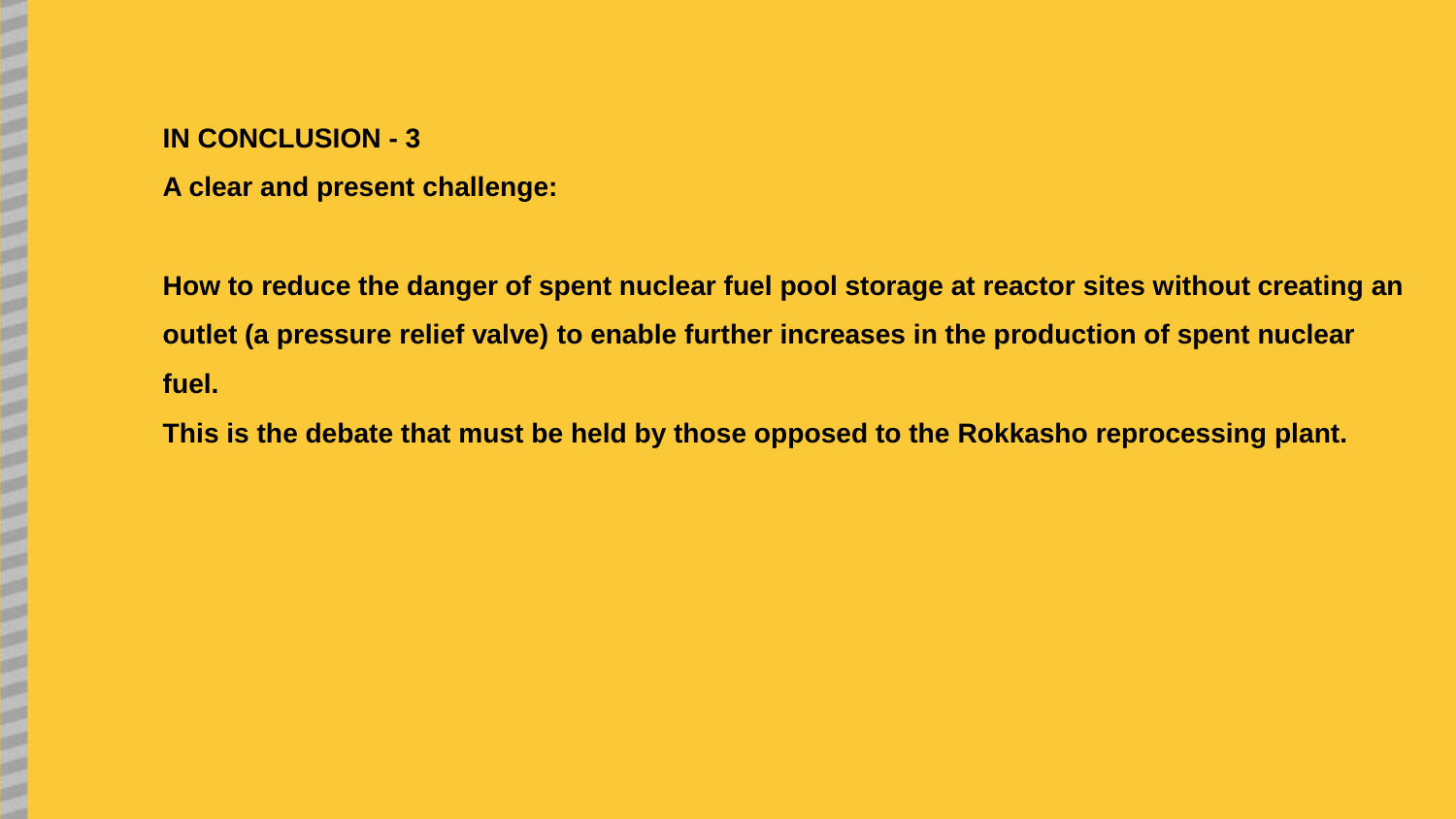# **IN CONCLUSION - 3**

**A clear and present challenge:** 

**How to reduce the danger of spent nuclear fuel pool storage at reactor sites without creating an outlet (a pressure relief valve) to enable further increases in the production of spent nuclear fuel.** 

**This is the debate that must be held by those opposed to the Rokkasho reprocessing plant.**